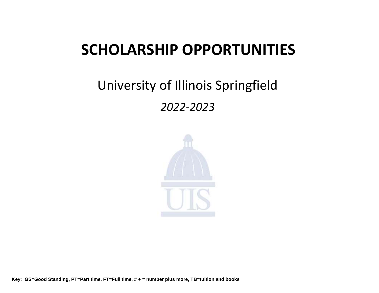## **SCHOLARSHIP OPPORTUNITIES**

## University of Illinois Springfield *2022-2023*

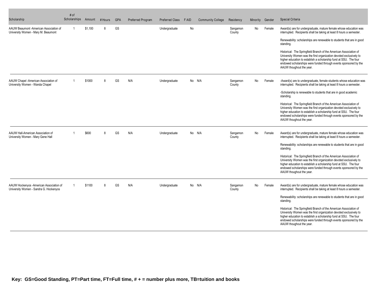| Scholarship                                                                       | # of<br>Scholarships | Amount  | # Hours | <b>GPA</b> | Preferred Program | <b>Preferred Class</b> | F AID | <b>Community College</b> | Residency          | Minority | Gender | <b>Special Criteria</b>                                                                                                                                                                                                                                                                                                                                                                                                                                                                                                                         |
|-----------------------------------------------------------------------------------|----------------------|---------|---------|------------|-------------------|------------------------|-------|--------------------------|--------------------|----------|--------|-------------------------------------------------------------------------------------------------------------------------------------------------------------------------------------------------------------------------------------------------------------------------------------------------------------------------------------------------------------------------------------------------------------------------------------------------------------------------------------------------------------------------------------------------|
| AAUW Beaumont -American Association of<br>University Women - Mary M. Beaumont     | 1                    | \$1.100 | 8       | GS         |                   | Undergraduate          | No    |                          | Sangamon<br>County | No       | Female | Award(s) are for undergraduate, mature female whose education was<br>interrupted. Recipients shall be taking at least 8 hours a semester.<br>Renewability: scholarships are renewable to students that are in good<br>standing.<br>Historical: The Springfield Branch of the American Association of<br>University Women was the first organization devoted exclusively to<br>higher education to establish a scholarship fund at SSU. The four<br>endowed scholarships were funded through events sponsored by the<br>AAUW thoughout the year. |
| AAUW Chapel -American Association of<br>University Women - Wanda Chapel           |                      | \$1000  | 8       | GS         | N/A               | Undergraduate          |       | No N/A                   | Sangamon<br>County | No       | Female | -Award(s) are to undergraduate, female students whose education was<br>interrupted. Recipients shall be taking at least 8 hours a semester.<br>-Scholarship is renewable to students that are in good academic<br>standing.<br>Historical: The Springfield Branch of the American Association of<br>University Women was the first organization devoted exclusively to<br>higher education to establish a scholarship fund at SSU. The four<br>endowed scholarships were funded through events sponsored by the<br>AAUW thoughout the year.     |
| AAUW Hall-American Association of<br>University Women - Mary Gene Hall            |                      | \$600   | 8       | GS         | N/A               | Undergraduate          |       | No N/A                   | Sangamon<br>County | No       | Female | Award(s) are for undergraduate, mature female whose education was<br>interrupted. Recipients shall be taking at least 8 hours a semester.<br>Renewability: scholarships are renewable to students that are in good<br>standing.<br>Historical: The Springfield Branch of the American Association of<br>University Women was the first organization devoted exclusively to<br>higher education to establish a scholarship fund at SSU. The four<br>endowed scholarships were funded through events sponsored by the<br>AAUW thoughout the year. |
| AAUW Hockenyos -American Association of<br>University Women - Sandra G. Hockenyos |                      | \$1100  | 8       | GS         | N/A               | Undergraduate          |       | No N/A                   | Sangamon<br>County | No       | Female | Award(s) are for undergraduate, mature female whose education was<br>interrupted. Recipients shall be taking at least 8 hours a semester.<br>Renewability: scholarships are renewable to students that are in good<br>standing.<br>Historical: The Springfield Branch of the American Association of<br>University Women was the first organization devoted exclusively to<br>higher education to establish a scholarship fund at SSU. The four<br>endowed scholarships were funded through events sponsored by the<br>AAUW thoughout the year. |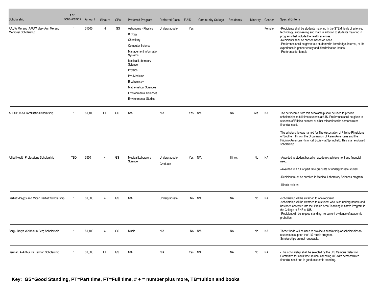| Scholarship                                              | # of<br>Scholarships | Amount  | # Hours  | <b>GPA</b> | <b>Preferred Program</b>                                                                                                                                                                                                                                                                 | <b>Preferred Class</b>    | F AID   | <b>Community College</b> | Residency | Minority | Gender | Special Criteria                                                                                                                                                                                                                                                                                                                                                                                           |
|----------------------------------------------------------|----------------------|---------|----------|------------|------------------------------------------------------------------------------------------------------------------------------------------------------------------------------------------------------------------------------------------------------------------------------------------|---------------------------|---------|--------------------------|-----------|----------|--------|------------------------------------------------------------------------------------------------------------------------------------------------------------------------------------------------------------------------------------------------------------------------------------------------------------------------------------------------------------------------------------------------------------|
| AAUW Merano AAUW Mary Ann Merano<br>Memorial Scholarship | -1                   | \$1000  |          | GS         | Astronomy - Physics<br>Biology<br>Chemistry<br><b>Computer Science</b><br>Management Information<br>Systems<br>Medical Laboratory<br>Science<br>Physics<br>Pre-Medicine<br>Biochemistry<br><b>Mathematical Sciences</b><br><b>Environmental Sciences</b><br><b>Environmental Studies</b> | Undergraduate             | Yes     |                          |           |          | Female | -Recipients shall be students majoring in the STEM fields of science,<br>technology, engineering and math in addition to students majoring in<br>programs that include the health sciences.<br>-Recipients shall be chosen based on need.<br>-Preference shall be given to a student with knowledge, interest, or life<br>experience in gender equity and discrimination issues.<br>-Preference for female |
| AFPSI/OAA/FilAmHisSo Scholarship                         |                      | \$1,100 | FT       | GS         | N/A                                                                                                                                                                                                                                                                                      | N/A                       | Yes N/A |                          | <b>NA</b> | Yes      | NA     | The net income from this scholarship shall be used to provide<br>scholarships to full time students at UIS. Preference shall be given to<br>students of Filipino descent or other minorities with demonstrated<br>financial need.                                                                                                                                                                          |
|                                                          |                      |         |          |            |                                                                                                                                                                                                                                                                                          |                           |         |                          |           |          |        | The scholarship was named for The Association of Filipino Physicians<br>of Southern Illinois, the Organization of Asian Americans and the<br>Filipinio American Historical Society at Springfield. This is an endowed<br>scholarship                                                                                                                                                                       |
| Allied Health Professions Scholarship                    | TBD                  | \$550   | $\Delta$ | GS         | Medical Laboratory<br>Science                                                                                                                                                                                                                                                            | Undergraduate<br>Graduate | Yes N/A |                          | Illinois  | No       | NA     | -Awarded to student based on academic achievement and financial<br>need.                                                                                                                                                                                                                                                                                                                                   |
|                                                          |                      |         |          |            |                                                                                                                                                                                                                                                                                          |                           |         |                          |           |          |        | -Awarded to a full or part time graduate or undergraduate student                                                                                                                                                                                                                                                                                                                                          |
|                                                          |                      |         |          |            |                                                                                                                                                                                                                                                                                          |                           |         |                          |           |          |        | -Recipient must be enrolled in Medical Laboratory Sciences program                                                                                                                                                                                                                                                                                                                                         |
|                                                          |                      |         |          |            |                                                                                                                                                                                                                                                                                          |                           |         |                          |           |          |        | -Illinois resident                                                                                                                                                                                                                                                                                                                                                                                         |
| Bartlett -Peggy and Micah Bartlett Scholarship           |                      | \$1,000 |          | GS         | N/A                                                                                                                                                                                                                                                                                      | Undergraduate             |         | No N/A                   | <b>NA</b> | No       | NA     | -scholarship will be awarded to one recipient<br>-scholarship will be awarded to a student who is an undergraduate and<br>has been accepted into the Prairie Area Teaching Initiative Program in<br>the College of EHS at UIS<br>-Recipient will be in good standing, no current evidence of academic<br>probation                                                                                         |
| Berg - Dorys Weisbaum Berg Scholarship                   |                      | \$1,100 |          | GS         | Music                                                                                                                                                                                                                                                                                    | N/A                       |         | No N/A                   | NA        | No       | NA     | These funds will be used to provide a scholarship or scholarships to<br>students to support the UIS music program.<br>Scholarships are not renewable.                                                                                                                                                                                                                                                      |
| Berman, A-Arthur Ira Berman Scholarship                  |                      | \$1,000 | FT.      | GS         | N/A                                                                                                                                                                                                                                                                                      | N/A                       | Yes N/A |                          | <b>NA</b> | No       | Na     | -This scholarship shall be selected by the UIS Campus Selection<br>Committee for a full time student attending UIS with demonstrated<br>financial need and in good academic standing.                                                                                                                                                                                                                      |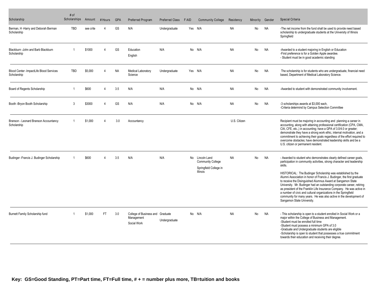| Scholarship                                            | # of<br>Scholarships | Amount    | # Hours   | <b>GPA</b> | <b>Preferred Program</b>                                      | <b>Preferred Class</b> | <b>FAID</b> | <b>Community College</b>                                                                 | Residency    | Minority | Gender    | Special Criteria                                                                                                                                                                                                                                                                                                                                                                                                                                                                                                                                                                                                                                                                           |
|--------------------------------------------------------|----------------------|-----------|-----------|------------|---------------------------------------------------------------|------------------------|-------------|------------------------------------------------------------------------------------------|--------------|----------|-----------|--------------------------------------------------------------------------------------------------------------------------------------------------------------------------------------------------------------------------------------------------------------------------------------------------------------------------------------------------------------------------------------------------------------------------------------------------------------------------------------------------------------------------------------------------------------------------------------------------------------------------------------------------------------------------------------------|
| Berman, H -Harry and Deborah Berman<br>Scholarship     | <b>TBD</b>           | see crite |           | GS         | N/A                                                           | Undergraduate          | Yes N/A     |                                                                                          | <b>NA</b>    | No       | <b>NA</b> | -The net income from the fund shall be used to provide need based<br>scholarship to undergraduate students at the University of Illinois<br>Springfield                                                                                                                                                                                                                                                                                                                                                                                                                                                                                                                                    |
| Blackburn - John and Barb Blackburn<br>Scholarship     |                      | \$1000    |           | GS         | Education<br>English                                          | N/A                    |             | No N/A                                                                                   | <b>NA</b>    | No       | <b>NA</b> | -Awarded to a student majoring in English or Education<br>-First preference is for a Golden Apple awardee.<br>- Student must be in good academic standing                                                                                                                                                                                                                                                                                                                                                                                                                                                                                                                                  |
| Blood Center -ImpactLife Blood Services<br>Scholarship | TBD                  | \$5,000   | $\Delta$  | <b>NA</b>  | Medical Laboratory<br>Science                                 | Undergraduate          | Yes N/A     |                                                                                          | <b>NA</b>    | No       | <b>NA</b> | The scholarship is for students who are undergraduate, financial need<br>based, Department of Medical Laboratory Science.                                                                                                                                                                                                                                                                                                                                                                                                                                                                                                                                                                  |
| Board of Regents Scholarship                           | -1                   | \$600     | 4         | 3.5        | N/A                                                           | N/A                    |             | No N/A                                                                                   | <b>NA</b>    | No       | <b>NA</b> | -Awarded to student with demonstrated community involvement.                                                                                                                                                                                                                                                                                                                                                                                                                                                                                                                                                                                                                               |
| Booth -Bryon Booth Scholarship                         | 3                    | \$3000    | $\Delta$  | GS         | N/A                                                           | N/A                    |             | No N/A                                                                                   | <b>NA</b>    | No       | <b>NA</b> | -3 scholarships awards at \$3,000 each,<br>-Criteria determind by Campus Selection Committee                                                                                                                                                                                                                                                                                                                                                                                                                                                                                                                                                                                               |
| Branson - Leonard Branson Accountancy<br>Scholarship   |                      | \$1,000   | $\Delta$  | 3.0        | Accountancy                                                   |                        |             |                                                                                          | U.S. Citizen |          |           | Recipient must be majoring in accounting and planning a career in<br>accounting, along with attaining professional certification (CPA, CMA,<br>CIA, CFE, etc.,) in accounting; have a GPA of 3.0/4.0 or greater;<br>demonstrate they have a strong work ethic, internal motivation, and a<br>commitment to achieving their goals regardless of the effort required to<br>overcome obstacles; have demonstrated leadership skills and be a<br>U.S. citizen or permanent resident.                                                                                                                                                                                                           |
| Budinger - Francis J. Budinger Scholarship             |                      | \$600     |           | 3.5        | N/A                                                           | N/A                    |             | No Lincoln Land<br><b>Community College</b><br>Springfield College in<br><b>Illinois</b> | <b>NA</b>    | No       | <b>NA</b> | - Awarded to student who demonstrates clearly defined career goals,<br>participation in community activities, strong character and leadership<br>skills.<br>HISTORICAL: The Budinger Scholarship was established by the<br>Alumni Association in honor of Francis J. Budinger, the first graduate<br>to receive the Disinguished Alumnus Award at Sangamon State<br>University. Mr. Budinger had an outstanding corporate career, retiring<br>as president of the Franklin Life Insurance Company. He was active in<br>a number of civic and cultural organizations in the Springfield<br>community for many years. He was also active in the development of<br>Sangamon State University. |
| Burnett Family Scholarship fund                        |                      | \$1,000   | <b>FT</b> | 3.0        | College of Business and Graduate<br>Management<br>Social Work | Undergraduate          |             | No N/A                                                                                   | <b>NA</b>    | No       | <b>NA</b> | - This scholarship is open to a student enrolled in Social Work or a<br>major within the College of Business and Management.<br>-Student must be enrolled full time<br>-Student must possess a minimum GPA of 3.0<br>-Graduate and Undergraduate students are eligible<br>-Scholarship is open to student that possesses a true commitment<br>towards their education and receiving their degree.                                                                                                                                                                                                                                                                                          |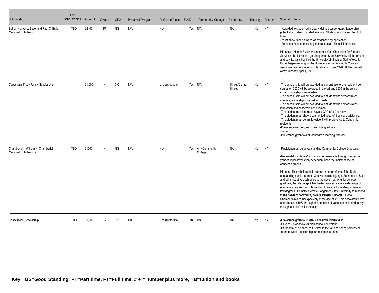| Scholarship                                                               | # of<br>Scholarships | Amount  | # Hours   | <b>GPA</b> | Preferred Program | <b>Preferred Class</b> | F AID   | <b>Community College</b>     | Residency                           | Minority | Gender    | Special Criteria                                                                                                                                                                                                                                                                                                                                                                                                                                                                                                                                                                                                                                                                                                                                                                                                                                                                                              |
|---------------------------------------------------------------------------|----------------------|---------|-----------|------------|-------------------|------------------------|---------|------------------------------|-------------------------------------|----------|-----------|---------------------------------------------------------------------------------------------------------------------------------------------------------------------------------------------------------------------------------------------------------------------------------------------------------------------------------------------------------------------------------------------------------------------------------------------------------------------------------------------------------------------------------------------------------------------------------------------------------------------------------------------------------------------------------------------------------------------------------------------------------------------------------------------------------------------------------------------------------------------------------------------------------------|
| Butler -Homer L. Butler and Paul C. Butler<br><b>Memorial Scholarship</b> | TBD                  | \$2400  | <b>FT</b> | GS         | N/A               | N/A                    |         | Yes N/A                      | <b>NA</b>                           | No       | <b>NA</b> | - Awarded to student with clearly defined career goals, leadership<br>potential, and demonstrated integrity. Student must be enrolled full<br>time.<br>- Must show financial need as evidenced by application.<br>- Does not need to meet any federal or state financial formulas.<br>Historical: Homer Butler was a former Vice Chancellor for Student<br>Services. Butler helped get Sangamon State University off the ground<br>and saw its transition into the University of Illinois at Springfield. Mr.<br>Butler began working for the University in September 1971 as an<br>associate dean of students. He retired in June 1996. Butler passed<br>away Tuesday April 1, 1997.                                                                                                                                                                                                                         |
| Capestrain-Tracy Family Scholarship                                       |                      | \$1,000 |           | 3.0        | N/A               | Undergraduate          | Yes N/A |                              | Illinois/Central<br><b>Illinois</b> | No       | <b>NA</b> | -The scholarship will be awarded as current use to one recipient per<br>semester, \$500 will be awarded in the fall and \$500 in the spring<br>-The Scholarship is renewable<br>-The scholarship will be awarded to a student with demonstrated<br>integrity, leadership potential and goals.<br>-The scholarship will be awarded to a student who demonstrates<br>innovation and academic achievement.<br>-The student recipient must have a GPA of 3.0 or above.<br>-The student must show documented need of financial assistance.<br>-The student must be an IL resident with preference to Central IL<br>residents.<br>-Preference will be given to an undergraduate<br>student.<br>-Preference given to a student with a learning disorder.                                                                                                                                                             |
| Chamberlain - William H. Chamberlain<br><b>Memorial Scholarships</b>      | <b>TBD</b>           | \$1500  |           | GS         | N/A               | N/A                    |         | Yes Any Community<br>College | NA                                  | No       | NA        | -Recipient must be an outstanding Community College Graduate<br>-Renewability criteria -Scholarship is renewable through the second<br>year of upper-level study dependent upon the maintenance of<br>academic grades<br>Historic: This scholarship is named in honor of one of the State's<br>outstanding public servants who was a circuit judge, Secretary of State<br>and administrative assistance to the governor. A junior college<br>graduate, the late Judge Chamberlain was active in a wide range of<br>educational endeavors. He went on to secure his undergraduate and<br>law degrees. He helped create Sangamon State University to respond<br>to the needs of community college transfer students. Judge<br>Chamberlain died unexpectedly at the age of 41. This scholarship was<br>established in 1972 through the donation of various friends and family<br>through a direct mail campaign. |
| Chancellor's Scholarship                                                  | <b>TBD</b>           | \$1,600 | 12        | 3.5        | N/A               | Undergraduate          |         | NA N/A                       | <b>NA</b>                           | No       | <b>NA</b> | -Preference given to students in their freshman year<br>-GPA of 3.5 or above or high school equivalent<br>-Student must be enrolled full time in the fall and spring semesters<br>-nonrenewable scholarship for freshman student                                                                                                                                                                                                                                                                                                                                                                                                                                                                                                                                                                                                                                                                              |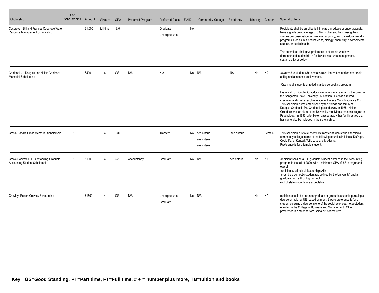| Scholarship                                                                   | # of<br>Scholarships | Amount     | # Hours   | <b>GPA</b> | Preferred Program | <b>Preferred Class</b>    | <b>FAID</b> | <b>Community College</b>                        | Residency    | Minority Gender |           | <b>Special Criteria</b>                                                                                                                                                                                                                                                                                                                                                                                                                                                                                                                                                                                  |
|-------------------------------------------------------------------------------|----------------------|------------|-----------|------------|-------------------|---------------------------|-------------|-------------------------------------------------|--------------|-----------------|-----------|----------------------------------------------------------------------------------------------------------------------------------------------------------------------------------------------------------------------------------------------------------------------------------------------------------------------------------------------------------------------------------------------------------------------------------------------------------------------------------------------------------------------------------------------------------------------------------------------------------|
| Cosgrove - Bill and Frances Cosgrove Water<br>Resource Management Scholarship |                      | \$1,000    | full time | 3.0        |                   | Graduate<br>Undergraduate | No          |                                                 |              |                 |           | Recipients shall be enrolled full time as a graduate or undergraduate,<br>have a grade point average of 3.0 or higher and be focusing their<br>studies on conservation, environmental policy, and the natural world, in<br>programs such as, but not limited to, biology, chemistry, environmental<br>studies, or public health.                                                                                                                                                                                                                                                                         |
|                                                                               |                      |            |           |            |                   |                           |             |                                                 |              |                 |           | The committee shall give preference to students who have<br>demonstrated leadership in freshwater resource management,<br>sustainability or policy.                                                                                                                                                                                                                                                                                                                                                                                                                                                      |
| Craddock -J. Douglas and Helen Craddock<br>Memorial Scholarship               |                      | \$400      |           | GS         | N/A               | N/A                       |             | No N/A                                          | <b>NA</b>    | No              | <b>NA</b> | -Awarded to student who demonstrates innovation and/or leadership<br>ability and academic achievement.                                                                                                                                                                                                                                                                                                                                                                                                                                                                                                   |
|                                                                               |                      |            |           |            |                   |                           |             |                                                 |              |                 |           | -Open to all students enrolled in a degree seeking program<br>Historical: J. Douglas Craddock was a former chairman of the board of<br>the Sangamon State University Foundation. He was a retired<br>chariman and chief executive officer of Horace Mann Insurance Co.<br>This scholarship was established by the friends and family of J.<br>Douglas Craddock. Mr. Craddock passed away in 1985. Helen<br>Craddock was an alum of the University receiving a master's degree in<br>Psychology. In 1993, after Helen passed away, her family asked that<br>her name also be included in the scholarship. |
| Cross- Sandra Cross Memorial Scholarship                                      |                      | <b>TBD</b> |           | GS         |                   | Transfer                  |             | No see criteria<br>see criteria<br>see criteria | see criteria |                 | Female    | This scholarship is to support UIS transfer students who attended a<br>community college in one of the following counties in Illinois: DuPage,<br>Cook, Kane, Kendall, Will, Lake and McHenry.<br>Preference is for a female student.                                                                                                                                                                                                                                                                                                                                                                    |
| Crowe Horwath LLP Outstanding Graduate<br>Accounting Student Scholarship      |                      | \$1000     |           | 3.3        | Accountancy       | Graduate                  |             | No N/A                                          | see criteria | No              | <b>NA</b> | -recipient shall be a UIS graduate student enrolled in the Accounting<br>program in the fall of 2020 with a minimum GPA of 3.3 in major and<br>overall<br>-recipient shall exhibit leadership skills<br>-must be a domestic student (as defined by the University) and a<br>graduate from a U.S. high school<br>-out of state students are acceptable                                                                                                                                                                                                                                                    |
| Crowley - Robert Crowley Scholarship                                          |                      | \$1500     |           | GS         | N/A               | Undergraduate<br>Graduate |             | No N/A                                          |              | No              | <b>NA</b> | recipient should be an undergraduate or graduate students pursuing a<br>degree or major at UIS based on merit. Strong preference is for a<br>student pursuing a degree in one of the social sciences, not a student<br>enrolled in the College of Business and Management Other<br>preference is a student from China but not required.                                                                                                                                                                                                                                                                  |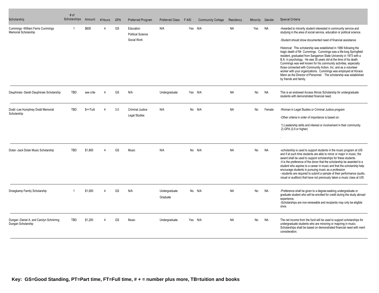| Scholarship                                                    | # of<br>Scholarships | Amount    | # Hours | <b>GPA</b> | Preferred Program                                    | Preferred Class           | F AID | <b>Community College</b> | Residency | Minority | Gender    | Special Criteria                                                                                                                                                                                                                                                                                                                                                                                                                                                                                                                                                                                                                                                                                                                                                                                           |
|----------------------------------------------------------------|----------------------|-----------|---------|------------|------------------------------------------------------|---------------------------|-------|--------------------------|-----------|----------|-----------|------------------------------------------------------------------------------------------------------------------------------------------------------------------------------------------------------------------------------------------------------------------------------------------------------------------------------------------------------------------------------------------------------------------------------------------------------------------------------------------------------------------------------------------------------------------------------------------------------------------------------------------------------------------------------------------------------------------------------------------------------------------------------------------------------------|
| Cummings - William Ferris Cummings<br>Memorial Scholarship     |                      | \$600     |         | GS         | Education<br><b>Political Science</b><br>Social Work | N/A                       |       | Yes N/A                  | <b>NA</b> | Yes      | <b>NA</b> | -Awarded to minority student interested in community service and<br>studying in the area of social service, education or political science.<br>-Student should show documented need of financial assistance<br>Historical: This scholarship was established in 1980 following the<br>tragic death of Mr. Cummings. Cummings was a life-long Springfield<br>resident, graduated from Sangamon State University in 1973 with a<br>B.A. in psychology. He was 30 years old at the time of his death.<br>Cummings was well known for his community activities, especially<br>those connected with Community Action, Inc. and as a volunteer<br>worker with your organizations. Cummings was employed at Horace<br>Mann as the Director of Personnel. The scholarship was established<br>by friends and family. |
| Dauphinais -Sarah Dauphinais Scholarship                       | <b>TBD</b>           | see crite |         | GS         | N/A                                                  | Undergraduate             |       | Yes N/A                  | <b>NA</b> | No       | <b>NA</b> | This is an endowed Access Illinois Scholarship for undergraduate<br>students with demonstrated financial need.                                                                                                                                                                                                                                                                                                                                                                                                                                                                                                                                                                                                                                                                                             |
| Dodd -Lee Humphrey Dodd Memorial<br>Scholarship                | <b>TBD</b>           | \$<=Tuiti |         | 3.0        | <b>Criminal Justice</b><br><b>Legal Studies</b>      | N/A                       |       | No N/A                   | <b>NA</b> | No       | Female    | -Woman in Legal Studies or Criminal Justice program<br>-Other criteria in order of importance is based on:<br>1) Leadership skills and interest or involvement in their community<br>2) GPA (3.0 or higher)                                                                                                                                                                                                                                                                                                                                                                                                                                                                                                                                                                                                |
| Dolan -Jack Dolan Music Scholarship                            | <b>TBD</b>           | \$1,800   |         | GS         | Music                                                | N/A                       |       | No N/A                   | <b>NA</b> | No       | <b>NA</b> | -scholarship is used to support students in the music program at UIS<br>and if at such time students are able to minor or major in music, the<br>award shall be used to support scholarships for these students<br>-it is the preference of the donor that the scholarship be awarded to a<br>student who aspires to a career in music and that the scholarship help<br>encourage students in pursuing music as a profession<br>--students are required to submit a sample of their performance (audio,<br>visual or audition) that have not previously taken a music class at UIS                                                                                                                                                                                                                         |
| Droegkamp Family Scholarship                                   |                      | \$1,000   |         | GS         | N/A                                                  | Undergraduate<br>Graduate |       | No N/A                   | <b>NA</b> | No       | <b>NA</b> | -Preference shall be given to a degree-seeking undergraduate or<br>graduate student who will be enrolled for credit during the study abroad<br>experience.<br>-Scholarships are non-renewable and recipients may only be eligible<br>once.                                                                                                                                                                                                                                                                                                                                                                                                                                                                                                                                                                 |
| Dungan -Daniel A. and Carolyn Schnirring<br>Dungan Scholarship | <b>TBD</b>           | \$1.200   | Δ       | GS         | Music                                                | Undergraduate             |       | Yes N/A                  | <b>NA</b> | No       | <b>NA</b> | The net income from the fund will be used to support scholarships for<br>undergraduate students who are minoring or majoring in music.<br>Scholarships shall be based on demonstrated financial need with merit<br>consideration.                                                                                                                                                                                                                                                                                                                                                                                                                                                                                                                                                                          |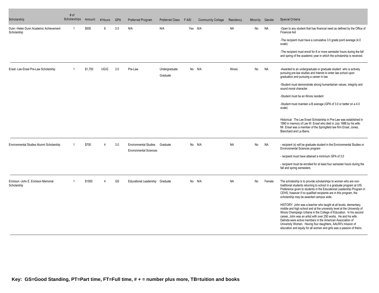| Scholarship                                           | # of<br>Scholarships | Amount  | # Hours | <b>GPA</b> | Preferred Program                                             | Preferred Class           | F AID | <b>Community College</b> | Residency       | Minority | Gender    | <b>Special Criteria</b>                                                                                                                                                                                                                                                                                                                                                                                                                                                                      |
|-------------------------------------------------------|----------------------|---------|---------|------------|---------------------------------------------------------------|---------------------------|-------|--------------------------|-----------------|----------|-----------|----------------------------------------------------------------------------------------------------------------------------------------------------------------------------------------------------------------------------------------------------------------------------------------------------------------------------------------------------------------------------------------------------------------------------------------------------------------------------------------------|
| Dunn - Helen Dunn Academic Achievement<br>Scholarship | $\mathbf 1$          | \$500   | 8       | 3.5        | N/A                                                           | N/A                       |       | Yes N/A                  | <b>NA</b>       | No       | <b>NA</b> | -Open to any student that has financial need as defined by the Office of<br><b>Financial Aid</b>                                                                                                                                                                                                                                                                                                                                                                                             |
|                                                       |                      |         |         |            |                                                               |                           |       |                          |                 |          |           | -The recipient must have a cumulative 3.5 grade point average (4.0)<br>scale)                                                                                                                                                                                                                                                                                                                                                                                                                |
|                                                       |                      |         |         |            |                                                               |                           |       |                          |                 |          |           | -The recipient must enroll for 8 or more semester hours during the fall<br>and spring of the academic year in which the scholarship is received.                                                                                                                                                                                                                                                                                                                                             |
| Ensel -Lee Ensel Pre-Law Scholarship                  |                      | \$1.700 | UG/G    | 3.0        | Pre-Law                                                       | Undergraduate<br>Graduate |       | No N/A                   | <b>Illinois</b> | No       | <b>NA</b> | -Awarded to an undergraduate or graduate student who is actively<br>pursuing pre-law studies and intends to enter law school upon<br>graduation and pursuing a career in law                                                                                                                                                                                                                                                                                                                 |
|                                                       |                      |         |         |            |                                                               |                           |       |                          |                 |          |           | -Student must demonstrate strong humanitarian values, integrity and<br>sound moral character.                                                                                                                                                                                                                                                                                                                                                                                                |
|                                                       |                      |         |         |            |                                                               |                           |       |                          |                 |          |           | -Student must be an Illinois resident                                                                                                                                                                                                                                                                                                                                                                                                                                                        |
|                                                       |                      |         |         |            |                                                               |                           |       |                          |                 |          |           | -Student must maintain a B average (GPA of 3.0 or better on a 4.0<br>scale)                                                                                                                                                                                                                                                                                                                                                                                                                  |
|                                                       |                      |         |         |            |                                                               |                           |       |                          |                 |          |           | Historical: The Lee Ensel Scholarship in Pre-Law was established in<br>1990 in memory of Lee W. Ensel who died in July 1988 by his wife.<br>Mr. Ensel was a member of the Springfield law firm Ensel, Jones,<br>Blanchard and La Barre.                                                                                                                                                                                                                                                      |
| Environmental Studies Alumni Scholarship              |                      | \$700   |         | 3.0        | <b>Environmental Studies</b><br><b>Environmental Sciences</b> | Graduate                  |       | No N/A                   | <b>NA</b>       | No       | <b>NA</b> | - recipient (s) will be graduate student in the Environmental Studies or<br>Environmental Sciences program                                                                                                                                                                                                                                                                                                                                                                                   |
|                                                       |                      |         |         |            |                                                               |                           |       |                          |                 |          |           | - recipient must have attained a minimum GPA of 3.0                                                                                                                                                                                                                                                                                                                                                                                                                                          |
|                                                       |                      |         |         |            |                                                               |                           |       |                          |                 |          |           | - recipient must be enrolled for at least four semester hours during the<br>fall and spring semesters                                                                                                                                                                                                                                                                                                                                                                                        |
| Erickson - John E. Erickson Memorial<br>Scholarship   |                      | \$1500  |         | <b>GS</b>  | Educational Leadership Graduate                               |                           |       | No N/A                   | <b>NA</b>       | No       | Female    | The scholarship is to provide scholarships to women who are non-<br>traditional students returning to school in a graduate program at UIS.<br>Preference given to students in the Educational Leadership Program in<br>CEHS, however if no qualified recipients are in this program, the<br>scholarship may be awarded campus wide.                                                                                                                                                          |
|                                                       |                      |         |         |            |                                                               |                           |       |                          |                 |          |           | HISTORY: John was a teacher who taught at all levels, elementary,<br>middle and high school and at the university level at the University of<br>Illinois Champaign Urbana in the College of Education. In his second<br>career. John was an artist with over 250 works. He and his wife<br>Delinda were active members in the American Association of<br>University Women. Having four daughters, AAUW's mission of<br>education and equity for all women and girls was a passion of theirs. |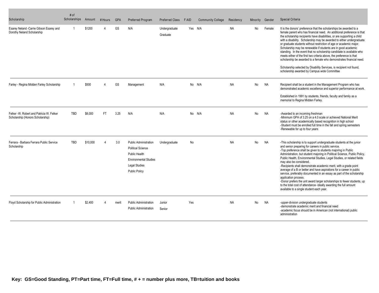| Scholarship                                                                  | # of<br>Scholarships | Amount   | # Hours   | <b>GPA</b> | Preferred Program                                                                                                                                         | Preferred Class           | F AID | <b>Community College</b> | Residency | Minority | Gender    | Special Criteria                                                                                                                                                                                                                                                                                                                                                                                                                                                                                                                                                                                                                                                                                                                                                                                                        |
|------------------------------------------------------------------------------|----------------------|----------|-----------|------------|-----------------------------------------------------------------------------------------------------------------------------------------------------------|---------------------------|-------|--------------------------|-----------|----------|-----------|-------------------------------------------------------------------------------------------------------------------------------------------------------------------------------------------------------------------------------------------------------------------------------------------------------------------------------------------------------------------------------------------------------------------------------------------------------------------------------------------------------------------------------------------------------------------------------------------------------------------------------------------------------------------------------------------------------------------------------------------------------------------------------------------------------------------------|
| Esarey Neland - Carrie Gibson Esarey and<br>Dorothy Neland Scholarship       | -1                   | \$1200   |           | GS         | N/A                                                                                                                                                       | Undergraduate<br>Graduate |       | Yes N/A                  | <b>NA</b> | No       | Female    | It is the donors' preference that the scholarships be awarded to a<br>female parent who has financial need. An additional preference is that<br>the scholarship recipients have disabilities, or are supporting a child<br>with a disability. Scholarship may be awarded to either undergraduate<br>or graduate students without restriction of age or academic major.<br>Scholarship may be renewable if students are in good academic<br>standing. In the event that no scholarship candidate is available who<br>meets either of the first two criteria above, the preference is that<br>scholarship be awarded to a female who demonstrates financial need.<br>Scholarship selected by Disability Services, is recipient not found,<br>scholarship awarded by Campus wide Committee                                 |
| Farley - Regina Midden Farley Scholarship                                    |                      | \$500    |           | GS         | Management                                                                                                                                                | N/A                       |       | No N/A                   | <b>NA</b> | No       | NA        | Recipient shall be a student in the Management Program who has<br>demonstrated academic excellence and superior performance at work.<br>Established in 1991 by students, friends, faculty and family as a<br>memorial to Regina Midden Farley.                                                                                                                                                                                                                                                                                                                                                                                                                                                                                                                                                                          |
| Felker -W. Robert and Patricia W. Felker<br>Scholarship (Honors Scholarship) | <b>TBD</b>           | \$8,000  | <b>FT</b> | 3.25       | N/A                                                                                                                                                       | N/A                       |       | No N/A                   | <b>NA</b> | No       | <b>NA</b> | -Awarded to an incoming freshman<br>-Minimum GPA of 3.25 on a 4.0 scale or achieved National Merit<br>status or other academically based recognition in high school<br>-Student must be enrolled full time in the fall and spring semesters<br>-Renewable for up to four years                                                                                                                                                                                                                                                                                                                                                                                                                                                                                                                                          |
| Ferrara - Barbara Ferrara Public Service<br>Scholarship                      | <b>TBD</b>           | \$10,000 |           | 3.0        | <b>Public Administration</b><br><b>Political Science</b><br>Public Health<br><b>Environmental Studies</b><br><b>Legal Studies</b><br><b>Public Policy</b> | Undergraduate             | No    |                          | <b>NA</b> | No       | NA        | -This scholarship is to support undergraduate students at the junior<br>and senior preparing for careers in public service.<br>-Top preference shall be given to students majoring in Public<br>Administration, but student majoring in Political Science, Public Policy,<br>Public Health, Environmental Studies, Legal Studies, or related fields<br>may also be considered.<br>-Recipients shall demonstrate academic merit, with a grade point<br>average of a B or better and have aspirations for a career in public<br>service, preferably documented in an essay as part of the scholarship<br>application process.<br>-Donor prefers the unit award larger scholarships to fewer students, up<br>to the total cost of attendance- ideally awarding the full amount<br>available to a single student each year. |
| Floyd Scholarship for Public Administration                                  |                      | \$2,400  |           | merit      | <b>Public Administration</b><br><b>Public Administration</b>                                                                                              | Junior<br>Senior          | Yes   |                          | <b>NA</b> | No       | <b>NA</b> | -upper-division undergraduate students<br>-demonstrate academic merit and financial need<br>-academic focus should be in American (not international) public<br>administration                                                                                                                                                                                                                                                                                                                                                                                                                                                                                                                                                                                                                                          |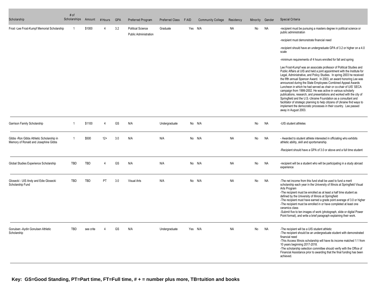| Scholarship                                                                       | # of<br>Scholarships | Amount     | # Hours        | <b>GPA</b> | Preferred Program                                        | Preferred Class | F AID | <b>Community College</b> | Residency | Minority | Gender    | Special Criteria                                                                                                                                                                                                                                                                                                                                                                                                                                                                                                                                                                                                                                                                                                                                                                                                        |
|-----------------------------------------------------------------------------------|----------------------|------------|----------------|------------|----------------------------------------------------------|-----------------|-------|--------------------------|-----------|----------|-----------|-------------------------------------------------------------------------------------------------------------------------------------------------------------------------------------------------------------------------------------------------------------------------------------------------------------------------------------------------------------------------------------------------------------------------------------------------------------------------------------------------------------------------------------------------------------------------------------------------------------------------------------------------------------------------------------------------------------------------------------------------------------------------------------------------------------------------|
| Frost-Lee Frost-Kumpf Memorial Scholarship                                        | 1                    | \$1000     | Δ              | 3.2        | <b>Political Science</b><br><b>Public Administration</b> | Graduate        |       | Yes N/A                  | <b>NA</b> | No       | <b>NA</b> | -recipient must be pursuing a masters degree in political science or<br>public administration                                                                                                                                                                                                                                                                                                                                                                                                                                                                                                                                                                                                                                                                                                                           |
|                                                                                   |                      |            |                |            |                                                          |                 |       |                          |           |          |           | -recipient must demonstrate financial need                                                                                                                                                                                                                                                                                                                                                                                                                                                                                                                                                                                                                                                                                                                                                                              |
|                                                                                   |                      |            |                |            |                                                          |                 |       |                          |           |          |           | -recipient should have an undergraduate GPA of 3.2 or higher on a 4.0<br>scale                                                                                                                                                                                                                                                                                                                                                                                                                                                                                                                                                                                                                                                                                                                                          |
|                                                                                   |                      |            |                |            |                                                          |                 |       |                          |           |          |           | -minimum requirements of 4 hours enrolled for fall and spring                                                                                                                                                                                                                                                                                                                                                                                                                                                                                                                                                                                                                                                                                                                                                           |
|                                                                                   |                      |            |                |            |                                                          |                 |       |                          |           |          |           | Lee Frost-Kumpf was an associate professor of Political Studies and<br>Public Affairs at UIS and held a joint appointment with the Institute for<br>Legal, Administrative, and Policy Studies. In spring 2003 he received<br>the fifth annual Spencer Award. In 2003, an award honoring Lee was<br>announced during the State Employees Combined Appeal Awards<br>Luncheon in which he had served as chair or co-chair of UIS' SECA<br>campaign from 1999-2002. He was active in various scholarly<br>publications, research, and presentations and worked with the city of<br>Springfield and the U.S.-Ukraine Foundation as a consultant and<br>facilitator of strategic planning to help citizens of Ukraine find ways to<br>implement the democratic processes in their country. Lee passed<br>away in August 2003. |
| Garrison Family Scholarship                                                       | $\mathbf 1$          | \$1100     | $\overline{4}$ | GS         | N/A                                                      | Undergraduate   |       | No N/A                   |           | No       | <b>NA</b> | -UIS student athletes                                                                                                                                                                                                                                                                                                                                                                                                                                                                                                                                                                                                                                                                                                                                                                                                   |
| Gibbs - Ron Gibbs Athletic Scholarship in<br>Memory of Ronald and Josephine Gibbs | $\overline{1}$       | \$500      | $12+$          | 3.0        | N/A                                                      | N/A             |       | No N/A                   | <b>NA</b> | No       | <b>NA</b> | - Awarded to student athlete interested in officiating who exhibits<br>athletic ability, skill and sportsmanship.                                                                                                                                                                                                                                                                                                                                                                                                                                                                                                                                                                                                                                                                                                       |
|                                                                                   |                      |            |                |            |                                                          |                 |       |                          |           |          |           | -Recipient should have a GPA of 3.0 or above and a full time student                                                                                                                                                                                                                                                                                                                                                                                                                                                                                                                                                                                                                                                                                                                                                    |
| Global Studies Experience Scholarship                                             | <b>TBD</b>           | <b>TBD</b> | $\overline{4}$ | GS         | N/A                                                      | N/A             |       | No N/A                   | <b>NA</b> | No       | <b>NA</b> | -recipient will be a student who will be participating in a study abroad<br>experience                                                                                                                                                                                                                                                                                                                                                                                                                                                                                                                                                                                                                                                                                                                                  |
| Glosecki - UIS Andy and Edie Glosecki<br>Scholarship Fund                         | <b>TBD</b>           | TBD        | PT             | 3.0        | Visual Arts                                              | N/A             |       | No N/A                   | <b>NA</b> | No       | <b>NA</b> | -The net income from this fund shall be used to fund a merit<br>scholarship each year in the University of Illinois at Springfield Visual<br>Arts Program<br>-The recipient must be enrolled as at least a half time student as<br>defined by the University of Illinois at Springfield<br>-The recipient must have earned a grade point average of 3.0 or higher<br>-The recipient must be enrolled in or have completed at least one<br>ceramics class<br>-Submit five to ten images of work (photograph, slide or digital Power<br>Point format), and write a brief paragraph explaining their work.                                                                                                                                                                                                                 |
| Gonulsen -Aydin Gonulsen Athletic<br>Scholarship                                  | <b>TBD</b>           | see crite  |                | GS         | N/A                                                      | Undergraduate   |       | Yes N/A                  | <b>NA</b> | No       | NA        | -The recipient will be a UIS student athletic<br>-The recipient should be an undergraduate student with demonstrated<br>financial need<br>-This Access Illinois scholarship will have its income matched 1:1 from<br>10 years beginning 2017-2018.<br>-The scholarship selection committee should verify with the Office of<br>Financial Assistance prior to awarding that the final funding has been<br>achieved.                                                                                                                                                                                                                                                                                                                                                                                                      |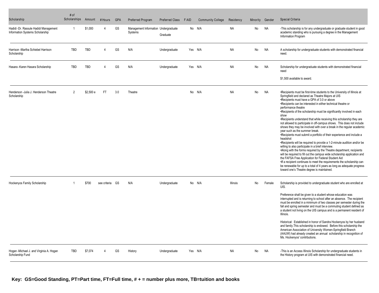| Scholarship                                                              | # of<br>Scholarships | Amount     | # Hours      | <b>GPA</b> | Preferred Program                               | Preferred Class | F AID | <b>Community College</b> | Residency       | Minority | Gender    | Special Criteria                                                                                                                                                                                                                                                                                                                                                                                                                                                                                                                                                                                                                                                                                                                                                                                                                                                                                                                                                                                                                                                                                                                                                                                                                                 |
|--------------------------------------------------------------------------|----------------------|------------|--------------|------------|-------------------------------------------------|-----------------|-------|--------------------------|-----------------|----------|-----------|--------------------------------------------------------------------------------------------------------------------------------------------------------------------------------------------------------------------------------------------------------------------------------------------------------------------------------------------------------------------------------------------------------------------------------------------------------------------------------------------------------------------------------------------------------------------------------------------------------------------------------------------------------------------------------------------------------------------------------------------------------------------------------------------------------------------------------------------------------------------------------------------------------------------------------------------------------------------------------------------------------------------------------------------------------------------------------------------------------------------------------------------------------------------------------------------------------------------------------------------------|
| Hadidi -Dr. Rassule Hadidi Management<br>Information Systems Scholarship | -1                   | \$1,000    | 4            | GS         | Management Information Undergraduate<br>Systems | Graduate        |       | No N/A                   | <b>NA</b>       | No       | <b>NA</b> | -This scholarship is for any undergraduate or graduate student in good<br>academic standing who is pursuing a degree in the Management<br>Information Program                                                                                                                                                                                                                                                                                                                                                                                                                                                                                                                                                                                                                                                                                                                                                                                                                                                                                                                                                                                                                                                                                    |
| Harrison -Martha Schiebel Harrison<br>Scholarship                        | <b>TBD</b>           | TBD        | $\Delta$     | GS         | N/A                                             | Undergraduate   |       | Yes N/A                  | <b>NA</b>       | No       | <b>NA</b> | A scholarship for undergraduate students with demonstrated financial<br>need.                                                                                                                                                                                                                                                                                                                                                                                                                                                                                                                                                                                                                                                                                                                                                                                                                                                                                                                                                                                                                                                                                                                                                                    |
| Hasara -Karen Hasara Scholarship                                         | <b>TBD</b>           | <b>TBD</b> | $\Delta$     | GS         | N/A                                             | Undergraduate   |       | Yes N/A                  | <b>NA</b>       | No       | <b>NA</b> | Scholarship for undergraduate students with demonstrated financial<br>need                                                                                                                                                                                                                                                                                                                                                                                                                                                                                                                                                                                                                                                                                                                                                                                                                                                                                                                                                                                                                                                                                                                                                                       |
|                                                                          |                      |            |              |            |                                                 |                 |       |                          |                 |          |           | \$1,500 available to award.                                                                                                                                                                                                                                                                                                                                                                                                                                                                                                                                                                                                                                                                                                                                                                                                                                                                                                                                                                                                                                                                                                                                                                                                                      |
| Henderson -Julia J. Henderson Theatre<br>Scholarship                     | 2                    | \$2,500 e  | FT.          | 3.0        | Theatre                                         |                 |       | No N/A                   | <b>NA</b>       | No       | <b>NA</b> | •Recipients must be first-time students to the University of Illinois at<br>Springfield and declared as Theatre Majors at UIS<br>•Recipients must have a GPA of 3.0 or above<br>•Recipients can be interested in either technical theatre or<br>performance theatre<br>•Recipients of the scholarship must be significantly involved in each<br>show<br>•Recipients understand that while receiving this scholarship they are<br>not allowed to participate in off-campus shows. This does not include<br>shows they may be involved with over a break in the regular academic<br>year such as the summer break.<br>•Recipients must submit a portfolio of their experience and include a<br>headshot<br>•Recipients will be required to provide a 1-2-minute audition and/or be<br>willing to also participate in a brief interview.<br>*Along with the forms required by the Theatre department, recipients<br>will be required to fill out the campus wide scholarship application and<br>the FAFSA Free Application for Federal Student Aid<br>If a recipient continues to meet the requirements the scholarship can<br>be renewable for up to a total of 4 years as long as adequate progress<br>toward one's Theatre degree is maintained. |
| Hockenyos Family Scholarship                                             |                      | \$700      | see criteria | GS         | N/A                                             | Undergraduate   |       | No N/A                   | <b>Illinois</b> | No       | Female    | Scholarship is provided to undergraduate student who are enrolled at<br>UIS.                                                                                                                                                                                                                                                                                                                                                                                                                                                                                                                                                                                                                                                                                                                                                                                                                                                                                                                                                                                                                                                                                                                                                                     |
|                                                                          |                      |            |              |            |                                                 |                 |       |                          |                 |          |           | Preference shall be given to a student whose education was<br>interrupted and is returning to school after an absence. The recipient<br>must be enrolled in a minimum of two classes per semester during the<br>fall and spring semester and must be a commuting student defined as<br>a student not living on the UIS campus and is a permanent resident of<br>Illinois.                                                                                                                                                                                                                                                                                                                                                                                                                                                                                                                                                                                                                                                                                                                                                                                                                                                                        |
|                                                                          |                      |            |              |            |                                                 |                 |       |                          |                 |          |           | Historical: Established in honor of Sandra Hockenyos by her husband<br>and family. This scholarship is endowed. Before this scholarship the<br>American Association of University Women-Springfield Branch<br>(AAUW) had already created an annual scholarship in recognition of<br>Ms. Hockenyos' contributions.                                                                                                                                                                                                                                                                                                                                                                                                                                                                                                                                                                                                                                                                                                                                                                                                                                                                                                                                |
| Hogan -Michael J. and Virginia A. Hogan<br>Scholarship Fund              | TBD                  | \$7,074    | Δ            | GS         | History                                         | Undergraduate   |       | Yes N/A                  | <b>NA</b>       | No       | <b>NA</b> | -This is an Access Illinois Scholarship for undergraduate students in<br>the History program at UIS with demonstrated financial need.                                                                                                                                                                                                                                                                                                                                                                                                                                                                                                                                                                                                                                                                                                                                                                                                                                                                                                                                                                                                                                                                                                            |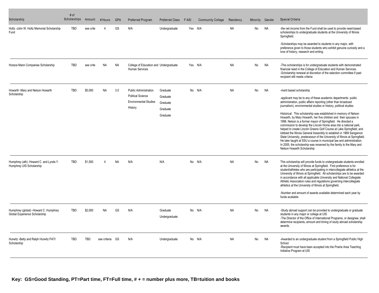| Scholarship                                                            | # of<br>Scholarships | Amount    | # Hours      | <b>GPA</b> | <b>Preferred Program</b>                                                                            | Preferred Class                                          | <b>FAID</b> | <b>Community College</b> | Residency | Minority | Gender    | Special Criteria                                                                                                                                                                                                                                                                                                                                                                                                                                                                                                                                                                                                                                                                                                                                                                                                                                                                                                       |
|------------------------------------------------------------------------|----------------------|-----------|--------------|------------|-----------------------------------------------------------------------------------------------------|----------------------------------------------------------|-------------|--------------------------|-----------|----------|-----------|------------------------------------------------------------------------------------------------------------------------------------------------------------------------------------------------------------------------------------------------------------------------------------------------------------------------------------------------------------------------------------------------------------------------------------------------------------------------------------------------------------------------------------------------------------------------------------------------------------------------------------------------------------------------------------------------------------------------------------------------------------------------------------------------------------------------------------------------------------------------------------------------------------------------|
| Holtz -John W. Holtz Memorial Scholarship<br>Fund                      | <b>TBD</b>           | see crite |              | GS         | N/A                                                                                                 | Undergraduate                                            |             | Yes N/A                  | <b>NA</b> | No       | <b>NA</b> | -the net income from the Fund shall be used to provide need-based<br>scholarships to undergraduate students at the University of Illinois<br>Springfield.<br>-Scholarships may be awarded to students in any major, with<br>preference given to those students who exhibit genuine curiosity and a<br>love of history, research and writing.                                                                                                                                                                                                                                                                                                                                                                                                                                                                                                                                                                           |
| Horace Mann Companies Scholarship                                      | TBD                  | see crite | <b>NA</b>    | <b>NA</b>  | College of Education and Undergraduate<br><b>Human Services</b>                                     |                                                          | Yes N/A     |                          | <b>NA</b> | No       | <b>NA</b> | -This scholarships is for undergraduate students with demonstrated<br>financial need in the College of Education and Human Services.<br>-Scholarship renewal at discretion of the selection committee if past<br>recipient still meets criteria                                                                                                                                                                                                                                                                                                                                                                                                                                                                                                                                                                                                                                                                        |
| Howarth -Mary and Nelson Howarth<br>Scholarship                        | <b>TBD</b>           | \$5,000   | <b>NA</b>    | 3.0        | <b>Public Administration</b><br><b>Political Science</b><br><b>Environmental Studies</b><br>History | Graduate<br>Graduate<br>Graduate<br>Graduate<br>Graduate |             | No N/A                   | <b>NA</b> | No       | <b>NA</b> | -merit based scholarship<br>-applicant may be to any of these academic departments public<br>administration, public affairs reporting (other than broadcast<br>journalism), environmental studies or history, political studies<br>Historical: This scholarship was established in memory of Nelson<br>Howarth, by Mary Howarth, her five children and their spouses in<br>1996. Nelson is a former mayor of Springfield. He directed a<br>commission to develop the Lincoln Home area into a national park,<br>helped to create Lincoln Greens Golf Course at Lake Springfield, and<br>lobbied the Illinois General Assembly to establish in 1969 Sangamon<br>State University, predecessor of the University of Illinois at Springfield.<br>He later taught at SSU a course in municipal law and administration.<br>In 2005, the scholarship was renamed by the family to the Mary and<br>Nelson Howarth Scholarship |
| Humphrey (ath) -Howard C. and Lynda Y.<br>Humphrey UIS Scholarship     | TBD                  | \$1,500   |              | <b>NA</b>  | N/A                                                                                                 | N/A                                                      |             | No N/A                   | <b>NA</b> | No       | <b>NA</b> | This scholarship will provide funds to undergraduate students enrolled<br>at the University of Illinois at Springfield. First preference is for<br>student/athletes who are participating in intercollegiate athletics at the<br>University of Illinois at Springfield. All scholarships are to be awarded<br>in accordance with all applicable University and National Collegiate<br>Athletic Association rules and regulations governing intercollegiate<br>athletics at the University of Illinois at Springfield.<br>-Number and amount of awards available determined each year by<br>funds available                                                                                                                                                                                                                                                                                                             |
| Humphrey (global) -Howard C. Humphrey<br>Global Experience Scholarship | <b>TBD</b>           | \$2,000   | <b>NA</b>    | GS         | N/A                                                                                                 | Graduate<br>Undergraduate                                |             | No N/A                   | <b>NA</b> | No       | <b>NA</b> | -Study abroad support can be provided to undergraduate or graduate<br>students in any major or college at UIS<br>-The Director of the Office of International Programs, or designee, shall<br>determine recipients, amount and timing of study abroad scholarship<br>awards.                                                                                                                                                                                                                                                                                                                                                                                                                                                                                                                                                                                                                                           |
| Hurwitz - Betty and Ralph Hurwitz PATI<br>Scholarship                  | <b>TBD</b>           | TBD       | see criteria | GS         | N/A                                                                                                 | Undergraduate                                            |             | No N/A                   | <b>NA</b> | No       | <b>NA</b> | -Awarded to an undergraduate student from a Springfield Public High<br>School<br>-Recipient must have been accepted into the Prairie Area Teaching<br>Initiative Program at UIS                                                                                                                                                                                                                                                                                                                                                                                                                                                                                                                                                                                                                                                                                                                                        |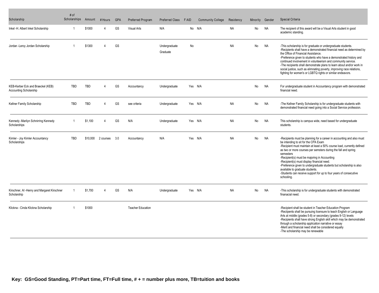| Scholarship                                                        | # of<br>Scholarships | Amount     | # Hours        | <b>GPA</b> | Preferred Program        | Preferred Class           | F AID | <b>Community College</b> | Residency | Minority | Gender    | Special Criteria                                                                                                                                                                                                                                                                                                                                                                                                                                                                                                                                                  |
|--------------------------------------------------------------------|----------------------|------------|----------------|------------|--------------------------|---------------------------|-------|--------------------------|-----------|----------|-----------|-------------------------------------------------------------------------------------------------------------------------------------------------------------------------------------------------------------------------------------------------------------------------------------------------------------------------------------------------------------------------------------------------------------------------------------------------------------------------------------------------------------------------------------------------------------------|
| Inkel -H. Albert Inkel Scholarship                                 |                      | \$1000     | Δ              | GS         | <b>Visual Arts</b>       | N/A                       |       | No N/A                   | <b>NA</b> | No       | <b>NA</b> | The recipient of this award will be a Visual Arts student in good<br>academic standing.                                                                                                                                                                                                                                                                                                                                                                                                                                                                           |
| Jordan -Leroy Jordan Scholarship                                   |                      | \$1300     | $\Delta$       | GS         |                          | Undergraduate<br>Graduate | No    |                          | <b>NA</b> | No       | <b>NA</b> | -This scholarship is for graduate or undergraduate students.<br>-Recipients shall have a demonstrated financial need as determined by<br>the Office of Financial Assistance.<br>-Preference given to students who have a demonstrated history and<br>continued involvement in volunteerism and community service.<br>-The recipients shall demonstrate plans to learn about and/or work in<br>social justice, such as elimnating poverty, improving race relations,<br>fighting for women's or LGBTQ rights or similar endeavors.                                 |
| KEB-Kerber Eck and Braeckel (KEB)<br><b>Accounting Scholarship</b> | <b>TBD</b>           | <b>TBD</b> | 4              | GS         | Accountancy              | Undergraduate             |       | Yes N/A                  |           | No       | <b>NA</b> | For undergraduate student in Accountancy program with demonstrated<br>financial need.                                                                                                                                                                                                                                                                                                                                                                                                                                                                             |
| Kellner Family Scholarship                                         | <b>TBD</b>           | <b>TBD</b> | $\overline{4}$ | GS         | see criteria             | Undergraduate             |       | Yes N/A                  | <b>NA</b> | No       | <b>NA</b> | -The Kellner Family Scholarship is for undergraduate students with<br>demonstrated financial need going into a Social Service profession.                                                                                                                                                                                                                                                                                                                                                                                                                         |
| Kennedy -Marilyn Schnirring Kennedy<br>Scholarships                |                      | \$1,100    | Δ              | GS         | N/A                      | Undergraduate             |       | Yes N/A                  | <b>NA</b> | No       | <b>NA</b> | This scholarship is campus wide, need based for undergraduate<br>students.                                                                                                                                                                                                                                                                                                                                                                                                                                                                                        |
| Kimler - Joy Kimler Accountancy<br>Scholarships                    | <b>TBD</b>           | \$10.000   | 2 courses      | 3.0        | Accountancy              | N/A                       |       | Yes N/A                  | <b>NA</b> | No       | <b>NA</b> | -Recipients must be planning for a career in accounting and also must<br>be intending to sit for the CPA Exam<br>-Recipient must maintain at least a 50% course load, currently defined<br>as two or more courses per semsters during the fall and spring<br>semesters<br>-Recipient(s) must be majoring in Accounting<br>-Recipient(s) must display financial need.<br>-Preference given to undergraduate students but scholarship is also<br>available to graduate students.<br>-Students can receive support for up to four years of consecutive<br>schooling. |
| Kirschner, AI -Henry and Margaret Kirschner<br>Scholarship         |                      | \$1,700    |                | GS         | N/A                      | Undergraduate             |       | Yes N/A                  | <b>NA</b> | No       | <b>NA</b> | -This scholarship is for undergraduate students with demonstrated<br>finanacial need.                                                                                                                                                                                                                                                                                                                                                                                                                                                                             |
| Klickna - Cinda Klickna Scholarship                                |                      | \$1000     |                |            | <b>Teacher Education</b> |                           |       |                          |           |          |           | -Recipient shall be student in Teacher Education Program<br>-Reciipents shall be pursuing licensure to teach English or Language<br>Arts at middle (grades 5-8) or secondary (grades 9-12) levels<br>-Recipients shall have strong English skill which may be demonstrated<br>through a scholarship application narrative or essay<br>-Merit and financial need shall be considered equally<br>-The scholarship may be renewable                                                                                                                                  |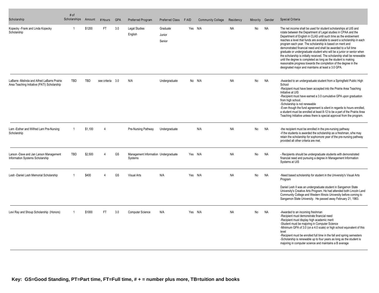| Scholarship                                                                                | # of<br>Scholarships | Amount     | # Hours          | <b>GPA</b> | <b>Preferred Program</b>                        | Preferred Class              | F AID   | <b>Community College</b> | Residency | Minority | Gender    | Special Criteria                                                                                                                                                                                                                                                                                                                                                                                                                                                                                                                                                                                                                                                                                                                                                |
|--------------------------------------------------------------------------------------------|----------------------|------------|------------------|------------|-------------------------------------------------|------------------------------|---------|--------------------------|-----------|----------|-----------|-----------------------------------------------------------------------------------------------------------------------------------------------------------------------------------------------------------------------------------------------------------------------------------------------------------------------------------------------------------------------------------------------------------------------------------------------------------------------------------------------------------------------------------------------------------------------------------------------------------------------------------------------------------------------------------------------------------------------------------------------------------------|
| Kopecky - Frank and Linda Kopecky<br>Scholarship                                           |                      | \$1200     | FT               | 3.0        | <b>Legal Studies</b><br>English                 | Graduate<br>Junior<br>Senior | Yes N/A |                          | <b>NA</b> | No       | <b>NA</b> | The net income shall be used for student scholarships at UIS and<br>rotate between the Department of Legal studies in CPAA and the<br>Department of English in CLAS until such time as the endowment<br>reaches a level that funds are available to award a scholarship in each<br>program each year. The scholarship is based on merit and<br>demonstrated financial need and shall be awarded to a full time<br>graduate or undergraduate student who will be a junior or senior when<br>the scholarship is initially received. The scholarship shall be renewable<br>until the degree is completed as long as the student is making<br>reasonable progress towards the completion of the degree in the<br>designated major and maintains at least a 3.0 GPA. |
| LaBarre -Melinda and Alfred LaBarre Prairie<br>Area Teaching Initiative (PATI) Scholarship | <b>TBD</b>           | <b>TBD</b> | see criteria 3.0 |            | N/A                                             | Undergraduate                |         | No N/A                   | <b>NA</b> | No       | <b>NA</b> | -Awarded to an undergraduate student from a Springfield Public High<br>School<br>-Recipient must have been accepted into the Prairie Area Teaching<br>Initiative at UIS<br>-Recipient must have earned a 3.0 cumulative GPA upon graduation<br>from high school.<br>-Scholarship is not renewable<br>-Even though the fund agreement is silent in regards to hours enrolled,<br>a student must be enrolled at least 8-12 to be a part of the Prairie Area<br>Teaching Initiative unless there is special approval from the program.                                                                                                                                                                                                                             |
| Lam -Esther and Wilfred Lam Pre-Nursing<br>Scholarship                                     | $\overline{1}$       | \$1,100    | $\overline{4}$   |            | Pre-Nursing Pathway                             | Undergraduate                |         | N/A                      | <b>NA</b> | No       | <b>NA</b> | -the recipient must be enrolled in the pre-nursing pathway<br>-if the students is awarded the scholarship as a freshman, s/he may<br>retain the scholarship for sophomore year of the pre-nursing pathway<br>provided all other criteria are met.                                                                                                                                                                                                                                                                                                                                                                                                                                                                                                               |
| Larson -Dave and Jan Larson Management<br>Information Systems Scholarship                  | <b>TBD</b>           | \$2.500    | Δ                | GS         | Management Information Undergraduate<br>Systems |                              | Yes N/A |                          | <b>NA</b> | No       | <b>NA</b> | - Recipients should be undergraduate students with demonstrated<br>financial need and pursuing a degree in Management Information<br>Systems at UIS                                                                                                                                                                                                                                                                                                                                                                                                                                                                                                                                                                                                             |
| Lesh -Daniel Lesh Memorial Scholarship                                                     |                      | \$400      |                  | GS         | <b>Visual Arts</b>                              | N/A                          |         | Yes N/A                  | <b>NA</b> | No       | <b>NA</b> | -Need based scholarship for student in the University's Visual Arts<br>Program<br>Daniel Lesh II was an undergraduate student in Sangamon State<br>University's Creative Arts Program. He had attended both Lincoln Land<br>Community College and Western Illinois University before coming to<br>Sangamon State University. He passed away February 21, 1983.                                                                                                                                                                                                                                                                                                                                                                                                  |
| Levi Ray and Shoup Scholarship (Honors)                                                    |                      | \$1000     | FT.              | 3.0        | <b>Computer Science</b>                         | N/A                          | Yes N/A |                          | <b>NA</b> | No       | <b>NA</b> | -Awarded to an incoming freshman<br>-Recipient must demonstrate financial need<br>-Recipient must display high academic merit<br>-Student must be majoring in Computer Science<br>-Minimum GPA of 3.0 (on a 4.0 scale) or high school equivalent of this<br>level<br>-Recipient must be enrolled full time in the fall and spring semesters<br>-Scholarship is renewable up to four years as long as the student is<br>majoring in computer science and maintains a B average                                                                                                                                                                                                                                                                                   |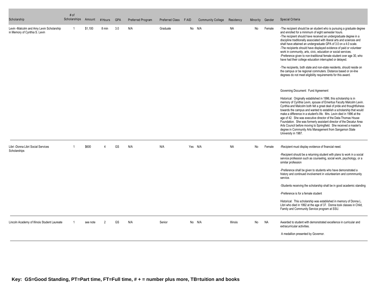| Scholarship                                                               | # of<br>Scholarships | Amount   | # Hours        | <b>GPA</b> | Preferred Program | Preferred Class | F AID | <b>Community College</b> | Residency | Minority  | Gender    | Special Criteria                                                                                                                                                                                                                                                                                                                                                                                                                                                                                                                                                                                                                                                                                                                                                                                                                     |
|---------------------------------------------------------------------------|----------------------|----------|----------------|------------|-------------------|-----------------|-------|--------------------------|-----------|-----------|-----------|--------------------------------------------------------------------------------------------------------------------------------------------------------------------------------------------------------------------------------------------------------------------------------------------------------------------------------------------------------------------------------------------------------------------------------------------------------------------------------------------------------------------------------------------------------------------------------------------------------------------------------------------------------------------------------------------------------------------------------------------------------------------------------------------------------------------------------------|
| Levin -Malcolm and Amy Levin Scholarship<br>in Memory of Cynthia S. Levin | -1                   | \$1,100  | 8 min          | 3.0        | N/A               | Graduate        |       | No N/A                   | NA        | No        | Female    | -The recipient should be an student who is pursuing a graduate degree<br>and enrolled for a minimum of eight semester hours.<br>-The recipient should have received an undergraduate degree in a<br>discipline traditionally associated with liberal arts and sciences and<br>shall have attained an undergraduate GPA of 3.0 on a 4.0 scale.<br>-The recipients should have displayed evidence of paid or volunteer<br>work in community, arts, civic, education or social services.<br>-Preference given to non-traditional female student over age 30, who<br>have had their college education interrupted or delayed.<br>-The recipients, both state and non-state residents, should reside on<br>the campus or be regional commuters. Distance based or on-line<br>degrees do not meet eligibility requirements for this award. |
|                                                                           |                      |          |                |            |                   |                 |       |                          |           |           |           | Governing Document: Fund Agreement<br>Historical: Originally established in 1996, this scholarship is in<br>memory of Cynthia Levin, spouse of Emeritus Faculty Malcolm Levin.<br>Cynthia and Malcolm both felt a great deal of pride and thoughtfulness<br>towards the campus and wanted to establish a scholarship that would<br>make a difference in a student's life. Mrs. Levin died in 1996 at the<br>age of 42. She was executive director of the Data-Thomas House<br>Foundation. She was formerly assistant director of the Decatur Area<br>Arts Council before moving to Springfield. She received a master's<br>degree in Community Arts Management from Sangamon State<br>University in 1987.                                                                                                                            |
| Libri -Donna Libri Social Services<br>Scholarships                        |                      | \$600    | $\Delta$       | GS         | N/A               | N/A             |       | Yes N/A                  | <b>NA</b> | <b>No</b> | Female    | -Recipient must display evidence of financial need.<br>-Recipient should be a returning student with plans to work in a social<br>service profession such as counseling, social work, psychology, or a<br>similar profession<br>-Preference shall be given to students who have demonstrated a<br>history and continued involvement in volunteerism and commmunity<br>service.<br>-Students receiving the scholarship shall be in good academic standing<br>-Preference is for a female student<br>Historical: This scholarship was established in memory of Donna L.<br>Libri who died in 1992 at the age of 37. Donna took classes in Child,<br>Family and Community Service program at SSU.                                                                                                                                       |
| Lincoln Academy of Illinois Student Laureate                              |                      | see note | $\overline{2}$ | GS         | N/A               | Senior          |       | No N/A                   | Illinois  | No        | <b>NA</b> | Awarded to student with demonstrated excellence in curricular and<br>extracurricular activities.<br>A medallion presented by Governor.                                                                                                                                                                                                                                                                                                                                                                                                                                                                                                                                                                                                                                                                                               |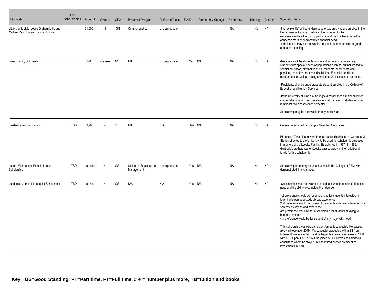| Scholarship                                                                          | # of<br>Scholarships | Amount    | # Hours  | <b>GPA</b> | Preferred Program                                   | <b>Preferred Class</b> | F AID | <b>Community College</b> | Residency | Minority | Gender    | Special Criteria                                                                                                                                                                                                                                                                                                                                                                                                                                                                                                                                                                                                                                                                                                                                                                                                                                                                                     |
|--------------------------------------------------------------------------------------|----------------------|-----------|----------|------------|-----------------------------------------------------|------------------------|-------|--------------------------|-----------|----------|-----------|------------------------------------------------------------------------------------------------------------------------------------------------------------------------------------------------------------------------------------------------------------------------------------------------------------------------------------------------------------------------------------------------------------------------------------------------------------------------------------------------------------------------------------------------------------------------------------------------------------------------------------------------------------------------------------------------------------------------------------------------------------------------------------------------------------------------------------------------------------------------------------------------------|
| Little -Jan L Little, Joyce Graham Little and<br>Michael Ray Coonse Criminal Justice |                      | \$1,000   |          | GS         | <b>Criminal Justice</b>                             | Undergraduate          |       |                          | <b>NA</b> | No       | <b>NA</b> | -the recipient(s) will be undergraduate students who are enrolled in the<br>Department of Criminal Justice in the College of PAA<br>-recipient can be either full or part time and may be based on either<br>academic merit or demonstrated financial need<br>-scholarships may be renewable, provided student remains in good<br>academic standing                                                                                                                                                                                                                                                                                                                                                                                                                                                                                                                                                  |
| Loken Family Scholarship                                                             |                      | \$1200    | 2classes | GS         | N/A                                                 | Undergraduate          |       | Yes N/A                  | <b>NA</b> | No       | <b>NA</b> | -Recipients will be students who intend to be educators serving<br>students with special needs or populations such as, but not limited to,<br>special education, alternative at risk students, or students with<br>physical, mental or emotional disabilities. Financial need is a<br>requirement, as well as, being enrolled for 2 classes each semester.<br>-Recipients shall be undergraduate student enrolled in the College of<br><b>Education and Human Services</b><br>-If the University of Illinois at Springfield establishes a major or minor<br>in special education then preference shall be given to student enrolled<br>in at least two classes each semester.<br>Scholarship may be renewable from year to year.                                                                                                                                                                     |
| Luedke Family Scholarship                                                            | <b>TBD</b>           | \$3.900   | Δ        | 3.5        | N/A                                                 | N/A                    |       | No N/A                   | <b>NA</b> | No       | NA        | Criteria deterimined by Campus Selection Committee<br>Historical: These funds were from an estate distribution of Gertrude M.<br>Steffen directed to the University to be used for scholarship purposes<br>in memory of the Luedke Family. Established in 1997. In 1999,<br>Gertrude's brother, Walter Luedke passed away and left additional<br>funds for this scholarship.                                                                                                                                                                                                                                                                                                                                                                                                                                                                                                                         |
| Luenz - Michael and Pamela Luenz<br>Scholarship                                      | <b>TBD</b>           | see crite | $\Delta$ | GS         | College of Business and Undergraduate<br>Management |                        |       | Yes N/A                  | <b>NA</b> | No       | <b>NA</b> | Scholarship for undergraduate students in the College of CBM with<br>demonstrated financial need.                                                                                                                                                                                                                                                                                                                                                                                                                                                                                                                                                                                                                                                                                                                                                                                                    |
| Lundquist -James L Lundquist Scholarship                                             | TBD                  | see note  |          | GS         | N/A                                                 | N/A                    |       | Yes N/A                  | <b>NA</b> | No       | <b>NA</b> | -Scholarships shall be awarded to students who demonstrate financial<br>need and the ability to complete their degree.<br>1st preference should be for scholarship for students interested in<br>teaching to pursue a study abroad experience<br>2nd preference would be for any UIS students with need interested in a<br>semester study abroad experience<br>3rd preference would be for a scholarship for students studying to<br>become teachers<br>4th preference would be for student of any major with need.<br>This scholarship was established by James L Lundquist. He passed<br>away in November 2009. Mr. Lundquist graduated with a BS from<br>Indiana University in 1957 and he began his brokerage career in 1958<br>with E.I. Dupont Co. In 1973, he joined A.G. Edwards as a financial<br>consultant, where he stayed until he retired as vice president of<br>investments in 2004. |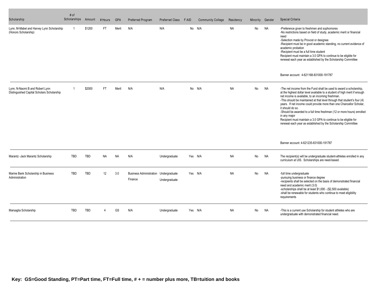| Scholarship                                                                   | # of<br>Scholarships | Amount     | # Hours   | <b>GPA</b> | Preferred Program                                | <b>Preferred Class</b> | F AID   | <b>Community College</b> | Residency | Minority | Gender    | <b>Special Criteria</b>                                                                                                                                                                                                                                                                                                                                                                                                                                                                                                                                                                                       |
|-------------------------------------------------------------------------------|----------------------|------------|-----------|------------|--------------------------------------------------|------------------------|---------|--------------------------|-----------|----------|-----------|---------------------------------------------------------------------------------------------------------------------------------------------------------------------------------------------------------------------------------------------------------------------------------------------------------------------------------------------------------------------------------------------------------------------------------------------------------------------------------------------------------------------------------------------------------------------------------------------------------------|
| Lynn, M-Mabel and Harvey Lynn Scholarship<br>(Honors Scholarship)             | -1                   | \$1200     | FT.       | Merit      | N/A                                              | N/A                    |         | No N/A                   | <b>NA</b> | No       | <b>NA</b> | -Preference given to freshmen and sophomores<br>-No restrictions based on field of study, academic merit or financial<br>need<br>-Selection made by Provost or designee<br>-Recipient must be in good academic standing, no current evidence of<br>academic probation<br>-Recipient must be a full time student<br>Recipient must maintain a 3.0 GPA to continue to be eligible for<br>renewal each year as established by the Scholarship Committee                                                                                                                                                          |
|                                                                               |                      |            |           |            |                                                  |                        |         |                          |           |          |           | Banner account: 4-621168-831000-191787                                                                                                                                                                                                                                                                                                                                                                                                                                                                                                                                                                        |
| Lynn, N-Naomi B and Robert Lynn<br>Distinguished Capital Scholars Scholarship |                      | \$2000     | <b>FT</b> | Merit      | N/A                                              | N/A                    |         | No N/A                   | <b>NA</b> | No       | NA        | -The net income from the Fund shall be used to award a scholarship.<br>at the highest dollar level available to a student of high merit if enough<br>net income is available, to an incoming freshman.<br>-This should be maintained at that level through that student's four (4)<br>years. If net income could provide more than one Chancellor Scholar,<br>it should do so.<br>-Should be awarded to a full time freshman (12 or more hours) enrolled<br>in any maior<br>Recipient must maintain a 3.0 GPA to continue to be eligible for<br>renewal each year as established by the Scholarship Committee |
|                                                                               |                      |            |           |            |                                                  |                        |         |                          |           |          |           | Banner account: 4-621235-831000-191787                                                                                                                                                                                                                                                                                                                                                                                                                                                                                                                                                                        |
| Marantz - Jack Marantz Scholarship                                            | <b>TBD</b>           | TBD        | <b>NA</b> | <b>NA</b>  | N/A                                              | Undergraduate          | Yes N/A |                          | <b>NA</b> | No       | NA        | The recipient(s) will be undergraduate student-athletes enrolled in any<br>curriculum at UIS. Scholarships are need-based.                                                                                                                                                                                                                                                                                                                                                                                                                                                                                    |
| Marine Bank Scholarship in Business<br>Administration                         | TBD                  | <b>TBD</b> | 12        | 3.0        | Business Administration Undergraduate<br>Finance | Undergraduate          | Yes N/A |                          | <b>NA</b> | No       | <b>NA</b> | -full time undergraduate<br>-pursuing business or finance degree<br>-recipients shall be selected on the basis of demonstrated financial<br>need and academic merit (3.0)<br>-scholarships shall be at least \$1,000 - (\$2,500 available)<br>-shall be renewable for students who continue to meet eligibility<br>requirements                                                                                                                                                                                                                                                                               |
| Marsaglia Scholarship                                                         | <b>TBD</b>           | <b>TBD</b> |           | GS         | N/A                                              | Undergraduate          | Yes N/A |                          | <b>NA</b> | No       | <b>NA</b> | -This is a current use Scholarship for student athletes who are<br>undergraduate with demonstrated financial need.                                                                                                                                                                                                                                                                                                                                                                                                                                                                                            |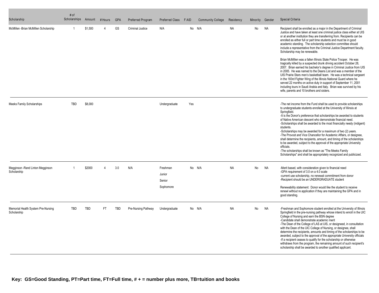| Scholarship                                       | # of<br>Scholarships | Amount  | # Hours  | <b>GPA</b> | Preferred Program       | Preferred Class F AID                     |     | <b>Community College</b> | Residency | Minority | Gender    | Special Criteria                                                                                                                                                                                                                                                                                                                                                                                                                                                                                                                                                                                                                                                                                                                                                                                                                                                                                                                                                                                                                                                                                            |
|---------------------------------------------------|----------------------|---------|----------|------------|-------------------------|-------------------------------------------|-----|--------------------------|-----------|----------|-----------|-------------------------------------------------------------------------------------------------------------------------------------------------------------------------------------------------------------------------------------------------------------------------------------------------------------------------------------------------------------------------------------------------------------------------------------------------------------------------------------------------------------------------------------------------------------------------------------------------------------------------------------------------------------------------------------------------------------------------------------------------------------------------------------------------------------------------------------------------------------------------------------------------------------------------------------------------------------------------------------------------------------------------------------------------------------------------------------------------------------|
| McMillen -Brian McMillen Scholarship              |                      | \$1.500 |          | GS         | <b>Criminal Justice</b> | N/A                                       |     | No N/A                   | <b>NA</b> | No       | <b>NA</b> | Recipient shall be enrolled as a major in the Department of Criminal<br>Justice and have taken at least one criminal justice class either at UIS<br>or at another institution they are transferring from. Recipients can be<br>enrolled as either full or part time students and must be in good<br>academic standing. The scholarship selection committee should<br>include a representative from the Criminal Justice Department faculty.<br>Scholarship may be renewable.<br>Brian McMillen was a fallen Illinois State Police Trooper. He was<br>tragically killed by a suspected drunk driving accident October 28,<br>2007. Brian earned his bachelor's degree in Criminal Justice from UIS<br>in 2005. He was named to the Deans List and was a member of the<br>UIS Prairie Stars men's basketball team. He was a technical sergeant<br>in the 183rd Fighter Wing of the Illinois National Guard where he<br>served 22 months on active duty in support of September 11, 2001<br>including tours in Saudi Arabia and Italy. Brian was survived by his<br>wife, parents and 10 brothers and sisters. |
| Meeks Family Scholarships                         | <b>TBD</b>           | \$8,000 |          |            |                         | Undergraduate                             | Yes |                          |           |          |           | -The net income from the Fund shall be used to provide scholarships<br>to undergraduate students enrolled at the University of Illinois at<br>Springfield.<br>-It is the Donor's preference that scholarships be awarded to students<br>of Native American descent who demonstrate financial need.<br>-Scholarships shall be awarded to the most financially needy (indigent)<br>students.<br>-Scholarships may be awarded for a maximum of two (2) years.<br>-The Provost and Vice Chancellor for Academic Affairs, or designee,<br>shall determine the recipients, amount, and timing of the scholarships<br>to be awarded, subject to the approval of the appropriate University<br>officials.<br>-The scholarships shall be known as "The Meeks Family<br>Scholarships" and shall be appropriately recognized and publicized.                                                                                                                                                                                                                                                                           |
| Megginson - Rand Linton Megginson<br>Scholarship  |                      | \$2000  | $\Delta$ | 3.0        | N/A                     | Freshman<br>Junior<br>Senior<br>Sophomore |     | No N/A                   | <b>NA</b> | No       | <b>NA</b> | -Merit based, with consideration given to financial need<br>-GPA requirement of 3.0 on a 4.0 scale<br>-current use scholarship, no renewal commitment from donor<br>-Recipient should be an UNDERGRADUATE student<br>Renewability statement: Donor would like the student to receive<br>renewl without re application if they are maintaining the GPA and in<br>good standing.                                                                                                                                                                                                                                                                                                                                                                                                                                                                                                                                                                                                                                                                                                                              |
| Memorial Health System Pre-Nursing<br>Scholarship | <b>TBD</b>           | TBD     | FT.      | <b>TBD</b> | Pre-Nursing Pathway     | Undergraduate                             |     | No N/A                   | <b>NA</b> | No       | <b>NA</b> | -Freshman and Sophomore student enrolled at the University of Illinois<br>Springfield in the pre-nursing pathway whose intend to enroll in the UIC<br>College of Nursing and earn the BSN degree<br>-Candidate shall demonstrate academic merit<br>-The Dean of the College of LAS at UIS, or designeed, in consultation<br>with the Dean of the UIC College of Nursing, or designee, shall<br>determine the recipients, amounts and timing of the scholarships to be<br>awarded, subject to the approval of the appropriate University officials<br>-If a recipient ceases to qualify for the scholarship or otherwise<br>withdraws from the program, the remaining amount of such recipient's<br>scholarship shall be awarded to another qualified applicant.                                                                                                                                                                                                                                                                                                                                             |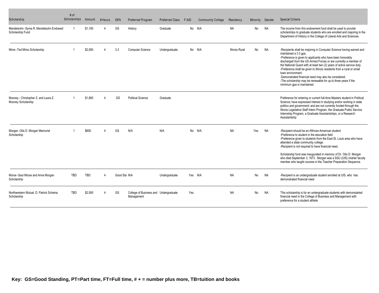| Scholarship                                                 | # of<br>Scholarships | Amount  | # Hours | <b>GPA</b>   | Preferred Program                                   | Preferred Class | <b>FAID</b> | <b>Community College</b> | Residency             | Minority | Gender    | Special Criteria                                                                                                                                                                                                                                                                                                                                                                                                                                                                                                                                                |
|-------------------------------------------------------------|----------------------|---------|---------|--------------|-----------------------------------------------------|-----------------|-------------|--------------------------|-----------------------|----------|-----------|-----------------------------------------------------------------------------------------------------------------------------------------------------------------------------------------------------------------------------------------------------------------------------------------------------------------------------------------------------------------------------------------------------------------------------------------------------------------------------------------------------------------------------------------------------------------|
| Mendelsohn - Syma R. Mendelsohn Endowed<br>Scholarship Fund | -1                   | \$1,100 |         | GS           | History                                             | Graduate        |             | No N/A                   | <b>NA</b>             | No       | <b>NA</b> | The income from this endowment fund shall be used to provide<br>scholarships to graduate students who are enrolled and majoring in the<br>Department of History in the College of Liberal Arts and Sciences.                                                                                                                                                                                                                                                                                                                                                    |
| Mims - Ted Mims Scholarship                                 |                      | \$2,000 |         | 3.3          | <b>Computer Science</b>                             | Undergraduate   |             | No N/A                   | <b>Illinois Rural</b> | No       | NA        | -Recipients shall be majoring in Computer Science having earned and<br>maintained a 3.3 qpa.<br>-Preference is given to applicants who have been honorably<br>discharged from the US Armed Forces or are currently a member of<br>the National Guard with at least two (2) years of active service duty.<br>-Preference shall be given to Illinois residents from a rural or small<br>town environment.<br>-Demonstrated financial need may also be considered.<br>-The scholarship may be renewable for up to three years if the<br>minimum qpa is maintained. |
| Mooney - Christopher Z. and Laura Z.<br>Mooney Scholarship  |                      | \$1,800 |         | GS           | <b>Political Science</b>                            | Graduate        |             |                          |                       |          |           | Preference for entering or current full-time Masters student in Political<br>Science; have expressed interest in studying and/or working in state<br>politics and government; and are not currently funded through the<br>Illinois Legislative Staff Intern Program, the Graduate Public Service<br>Internship Program, a Graduate Assistantships, or a Research<br>Assistantship                                                                                                                                                                               |
| Morgan -Otis D. Morgan Memorial<br>Scholarship              |                      | \$600   |         | GS           | N/A                                                 | N/A             |             | No N/A                   | <b>NA</b>             | Yes      | NA        | -Recipient should be an Aftrican-American student<br>-Preference to student in the education field<br>-Preference given to students from the East St. Louis area who have<br>attended a state community college.<br>-Recipient is not required to have financial need.<br>Scholarship fund was inaugurated in memory of Dr. Otis D. Morgan<br>who died September 3, 1973. Morgan was a SSU (UIS) charter faculty<br>member who taught courses in the Teacher Preparation Sequence.                                                                              |
| Morse -Saul Morse and Anne Morgan<br>Scholarship            | TBD                  | TBD     |         | Good Sta N/A |                                                     | Undergraduate   |             | Yes N/A                  | <b>NA</b>             | No       | NA        | -Recipient is an undergraduate student enrolled at UIS, who has<br>demonstrated financial need                                                                                                                                                                                                                                                                                                                                                                                                                                                                  |
| Northwestern Mutual. D. Patrick Scheina<br>Scholarship      | <b>TRD</b>           | \$2.500 |         | GS           | College of Business and Undergraduate<br>Management |                 | Yes         |                          | <b>NA</b>             | No       | <b>NA</b> | This scholarship is for an undergraduate students with demonstarted<br>financial need in the College of Business and Management with<br>preference for a student athlete                                                                                                                                                                                                                                                                                                                                                                                        |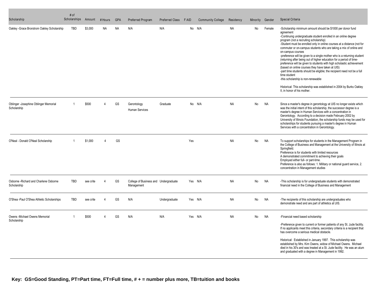| Scholarship                                           | # of<br>Scholarships Amount |           | # Hours | <b>GPA</b> | Preferred Program                                   | Preferred Class F AID |     | <b>Community College</b> | Residency | Minority  | Gender    | Special Criteria                                                                                                                                                                                                                                                                                                                                                                                                                                                                                                                                                                                                                                                                                                                                                                                                                                                                   |
|-------------------------------------------------------|-----------------------------|-----------|---------|------------|-----------------------------------------------------|-----------------------|-----|--------------------------|-----------|-----------|-----------|------------------------------------------------------------------------------------------------------------------------------------------------------------------------------------------------------------------------------------------------------------------------------------------------------------------------------------------------------------------------------------------------------------------------------------------------------------------------------------------------------------------------------------------------------------------------------------------------------------------------------------------------------------------------------------------------------------------------------------------------------------------------------------------------------------------------------------------------------------------------------------|
| Oakley -Grace Brorstrom Oakley Scholarship            | <b>TBD</b>                  | \$3,000   | NA      | <b>NA</b>  | N/A                                                 | N/A                   |     | No N/A                   | NA        | No        | Female    | -Scholarship minimum amount should be \$1000 per donor fund<br>agreement<br>-Continuing undergraduate student enrolled in an online degree<br>program (not a recruiting scholarship)<br>-Student must be enrolled only in online courses at a distance (not for<br>commuter or on-campus students who are taking a mix of online and<br>on-campus courses<br>-preference will be given to a single mother who is a returning student<br>(returning after being out of higher education for a period of time-<br>preference will be given to students with high scholastic achievement<br>(based on online courses they have taken at UIS)<br>-part time students should be eligible; the recipient need not be a full<br>time student<br>-this scholarship is non-renewable<br>Historical: This scholarship was established in 2004 by Burks Oakley<br>II, in honor of his mother. |
| Oblinger -Josephine Oblinger Memorial<br>Scholarship  |                             | \$500     | Δ       | GS         | Gerontology<br><b>Human Services</b>                | Graduate              |     | No N/A                   | <b>NA</b> | No        | <b>NA</b> | Since a master's degree in gerontology at UIS no longer exists which<br>was the initial intent of this scholarship, the successor degree is a<br>master's degree in Human Services with a concentration in<br>Gerontology. According to a decision made February 2002 by<br>University of Illinois Foundation, the scholarship funds may be used for<br>scholarships for students pursuing a master's degree in Human<br>Services with a concentration in Gerontology.                                                                                                                                                                                                                                                                                                                                                                                                             |
| O'Neal - Donald O'Neal Scholarship                    |                             | \$1,000   | Δ       | GS         |                                                     |                       | Yes |                          | <b>NA</b> | No        | <b>NA</b> | To support scholarships for students in the Management Program in<br>the College of Business and Management at the University of Illinois at<br>Springfield.<br>Preference is for students with limited resources<br>A demonstrated commitment to achieving their goals<br>Employed either full- or part-time.<br>Preference is also as follows: 1. Military or national guard service, 2.<br>concentration in Management studies                                                                                                                                                                                                                                                                                                                                                                                                                                                  |
| Osborne - Richard and Charlene Osborne<br>Scholarship | <b>TBD</b>                  | see crite | Δ       | GS         | College of Business and Undergraduate<br>Management |                       |     | Yes N/A                  | <b>NA</b> | <b>No</b> | <b>NA</b> | -This scholarship is for undergraduate students with demonstrated<br>financial need in the College of Business and Management                                                                                                                                                                                                                                                                                                                                                                                                                                                                                                                                                                                                                                                                                                                                                      |
| O'Shea -Paul O'Shea Athletic Scholarships             | <b>TBD</b>                  | see crite |         | GS         | N/A                                                 | Undergraduate         |     | Yes N/A                  | <b>NA</b> | No        | <b>NA</b> | -The recipients of this scholarship are undergraduates who<br>demonstrate need and are part of athletics at UIS.                                                                                                                                                                                                                                                                                                                                                                                                                                                                                                                                                                                                                                                                                                                                                                   |
| Owens -Michael Owens Memorial<br>Scholarship          |                             | \$500     | Δ       | GS         | N/A                                                 | N/A                   |     | Yes N/A                  | <b>NA</b> | <b>No</b> | <b>NA</b> | -Financial need based scholarship<br>-Preference given to current or former patients of any St. Jude facility.<br>If no applicants meet this criteria, secondary criteria is a recipient that<br>has overcome a serious medical obstacle.<br>Historical: Established in January 1997. This scholarship was<br>established by Mrs. Kim Owens, widow of Michael Owens. Michael<br>died in his 30's and was treated at a St. Jude facility. He was an alum<br>and graduated with a degree in Management in 1992.                                                                                                                                                                                                                                                                                                                                                                      |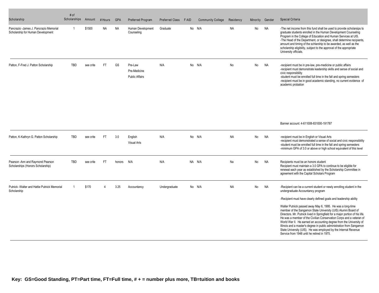| Scholarship                                                                  | # of<br>Scholarships Amount |           | # Hours   | <b>GPA</b> | Preferred Program                                | <b>Preferred Class</b> | F AID | <b>Community College</b> | Residency | Minority | Gender    | Special Criteria                                                                                                                                                                                                                                                                                                                                                                                                                                                                                                                                                                                                                                                                                                                        |
|------------------------------------------------------------------------------|-----------------------------|-----------|-----------|------------|--------------------------------------------------|------------------------|-------|--------------------------|-----------|----------|-----------|-----------------------------------------------------------------------------------------------------------------------------------------------------------------------------------------------------------------------------------------------------------------------------------------------------------------------------------------------------------------------------------------------------------------------------------------------------------------------------------------------------------------------------------------------------------------------------------------------------------------------------------------------------------------------------------------------------------------------------------------|
| Pancrazio - James J. Pancrazio Memorial<br>Scholarship for Human Development | -1                          | \$1500    | <b>NA</b> | NA         | Human Development<br>Counseling                  | Graduate               | No    | N/A                      | <b>NA</b> | No       | NA        | -The net income from this fund shall be used to provide scholarsips to<br>graduate students enrolled in the Human Development Counseling<br>Program in the College of Education and Human Services at UIS.<br>-The Head of the Department, or designee, shall determine recipients,<br>amount and timing of the schlarship to be awarded, as well as the<br>scholarship eligibility, subject to the approval of the appropriate<br>University officials.                                                                                                                                                                                                                                                                                |
| Patton, F-Fred J. Patton Scholarship                                         | <b>TBD</b>                  | see crite | <b>FT</b> | GS         | Pre-Law<br>Pre-Medicine<br><b>Public Affairs</b> | N/A                    |       | No N/A                   | No        | No       | <b>NA</b> | -recipient must be in pre-law, pre-medicine or public affairs<br>-recipient must demonstrate leadership skills and sense of social and<br>civic responsibility<br>-student must be enrolled full time in the fall and spring semesters<br>-recipient must be in good academic standing, no current evidence of<br>academic probation                                                                                                                                                                                                                                                                                                                                                                                                    |
|                                                                              |                             |           |           |            |                                                  |                        |       |                          |           |          |           | Banner account: 4-611008-831000-191787                                                                                                                                                                                                                                                                                                                                                                                                                                                                                                                                                                                                                                                                                                  |
| Patton, K-Kathryn G. Patton Scholarship                                      | <b>TBD</b>                  | see crite | <b>FT</b> | 3.0        | English<br><b>Visual Arts</b>                    | N/A                    |       | No N/A                   | <b>NA</b> | No       | <b>NA</b> | -recipient must be in English or Visual Arts<br>-recipient must demonstrated a sense of social and civic responsibility<br>-student must be enrolled full time in the fall and spring semesters<br>-minimum GPA of 3.0 or above or high school equivalent of this level                                                                                                                                                                                                                                                                                                                                                                                                                                                                 |
| Pearson - Ann and Raymond Pearson<br>Scholarships (Honors Scholarship)       | <b>TBD</b>                  | see crite | <b>FT</b> | honors     | N/A                                              | N/A                    |       | NA N/A                   | Na        | No       | <b>NA</b> | Recipients must be an honors student<br>Recipient must maintain a 3.0 GPA to continue to be eligible for<br>renewal each year as established by the Scholarship Committee in<br>agreement with the Capital Scholars Program                                                                                                                                                                                                                                                                                                                                                                                                                                                                                                             |
| Putnick - Walter and Hattie Putnick Memorial<br>Scholarship                  |                             | \$170     | $\Delta$  | 3.25       | Accountancy                                      | Undergraduate          |       | No N/A                   | <b>NA</b> | No       | <b>NA</b> | -Recipient can be a current student or newly enrolling student in the<br>undergraduate Accountancy program<br>-Recipient must have clearly defined goals and leadership ability<br>Walter Putnick passed away May 6, 1995. He was a long-time<br>member of the Sangamon State University (UIS) Alumni Board of<br>Directors. Mr. Putnick lived in Springfield for a major portion of his life.<br>He was a member of the Civilian Conservation Corps and a veteran of<br>World War II. He earned an accounting degree from the University of<br>Illinois and a master's degree in public administration from Sangamon<br>State University (UIS). He was employed by the Internal Revenue<br>Service from 1948 until he retired in 1975. |
|                                                                              |                             |           |           |            |                                                  |                        |       |                          |           |          |           |                                                                                                                                                                                                                                                                                                                                                                                                                                                                                                                                                                                                                                                                                                                                         |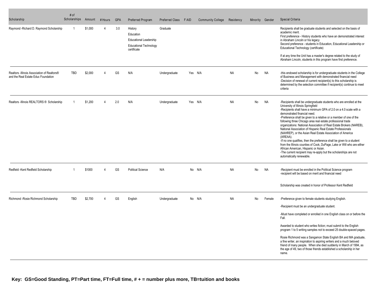| Scholarship                                                                         | # of<br>Scholarships | Amount  | # Hours        | <b>GPA</b> | Preferred Program                                                                                     | Preferred Class | F AID | <b>Community College</b> | Residency | Minority Gender |           | Special Criteria                                                                                                                                                                                                                                                                                                                                                                                                                                                                                                                                                                                                                                                                                                                                                                                                                                              |
|-------------------------------------------------------------------------------------|----------------------|---------|----------------|------------|-------------------------------------------------------------------------------------------------------|-----------------|-------|--------------------------|-----------|-----------------|-----------|---------------------------------------------------------------------------------------------------------------------------------------------------------------------------------------------------------------------------------------------------------------------------------------------------------------------------------------------------------------------------------------------------------------------------------------------------------------------------------------------------------------------------------------------------------------------------------------------------------------------------------------------------------------------------------------------------------------------------------------------------------------------------------------------------------------------------------------------------------------|
| Raymond -Richard D. Raymond Scholarship                                             |                      | \$1,000 | $\Delta$       | 3.0        | History<br>Education<br><b>Educational Leadership</b><br><b>Educational Technology</b><br>certificate | Graduate        |       |                          |           |                 |           | Recipients shall be graduate students and selected on the basis of<br>academic merit.<br>First preference - History students who have an demonstrated interest<br>in Abraham Lincoln or his legacy<br>Second preference - students in Education, Educational Leadership or<br>Educational Technology (certificate)<br>If at any time the Unit has a master's degree related to the study of<br>Abraham Lincoln, students in this program have first preference.                                                                                                                                                                                                                                                                                                                                                                                               |
| Realtors - Illinois Association of Realtors®<br>and the Real Estate Educ Foundation | <b>TBD</b>           | \$2,000 | 4              | GS         | N/A                                                                                                   | Undergraduate   |       | Yes N/A                  | <b>NA</b> | No              | <b>NA</b> | -this endowed scholarship is for undergraduate students in the College<br>of Business and Management with demonstrated financial need<br>-Decision of renewal of current recipient(s) to this scholarship is<br>determined by the selection committee if recipient(s) continue to meet<br>criteria                                                                                                                                                                                                                                                                                                                                                                                                                                                                                                                                                            |
| Realtors - Illinois REALTORS ® Scholarship                                          |                      | \$1,200 | 4              | 2.0        | N/A                                                                                                   | Undergraduate   |       | Yes N/A                  | <b>NA</b> | No              | NA        | -Recipients shall be undergraduate students who are enrolled at the<br>University of Illinois Springfield<br>-Recipients shall have a minimum GPA of 2.0 on a 4.0 scale with a<br>demonstrated financial need.<br>-Preference shall be given to a relative or a member of one of the<br>following three Chicago area real estate professional trade<br>organizations: National Association of Real Estate Brokers (NAREB),<br>National Association of Hispanic Real Estate Professionals<br>(NAHREP), or the Asian Real Estate Association of America<br>(AREAA).<br>-If no one qualifies, then the preference shall be given to a student<br>from the Illinois counties of Cook, DuPage, Lake or Will who are either<br>African American, Hispanic or Asian.<br>-The current recipient may re-apply but the scholarships are not<br>automatically renewable. |
| Redfield -Kent Redfield Scholarship                                                 |                      | \$1000  | Δ              | GS         | <b>Political Science</b>                                                                              | N/A             |       | No N/A                   | <b>NA</b> | No              | <b>NA</b> | -Recipient must be enrolled in the Political Science program<br>-recipient will be based on merit and financial need                                                                                                                                                                                                                                                                                                                                                                                                                                                                                                                                                                                                                                                                                                                                          |
|                                                                                     |                      |         |                |            |                                                                                                       |                 |       |                          |           |                 |           | Scholarship was created in honor of Professor Kent Redfield                                                                                                                                                                                                                                                                                                                                                                                                                                                                                                                                                                                                                                                                                                                                                                                                   |
| Richmond - Rosie Richmond Scholarship                                               | TBD                  | \$2.700 | $\overline{4}$ | GS         | English                                                                                               | Undergraduate   |       | No N/A                   | <b>NA</b> | No              | Female    | -Preference given to female students studying English.<br>-Recipient must be an undergraduate student.<br>-Must have completed or enrolled in one English class on or before the<br>Fall.<br>Awarded to student who writes fiction; must submit to the English<br>program 1 to 5 writing samples not to exceed 25 double-spaced pages.<br>Rosie Richmond was a Sangamon State English BA and MA graduate,<br>a fine writer, an inspiration to aspiring writers and a much beloved<br>friend of many people. When she died suddenly in March of 1994, as<br>the age of 49, two of those friends established a scholarship in her<br>name.                                                                                                                                                                                                                      |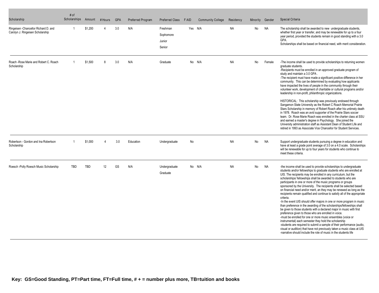| Scholarship                                                               | # of<br>Scholarships | Amount     | # Hours | <b>GPA</b> | Preferred Program | Preferred Class                           | F AID | <b>Community College</b> | Residency | Minority  | Gender    | Special Criteria                                                                                                                                                                                                                                                                                                                                                                                                                                                                                                                                                                                                                                                                                                                                                                                                                                                                                                                                                                                                                                                                                                                                                                                                            |
|---------------------------------------------------------------------------|----------------------|------------|---------|------------|-------------------|-------------------------------------------|-------|--------------------------|-----------|-----------|-----------|-----------------------------------------------------------------------------------------------------------------------------------------------------------------------------------------------------------------------------------------------------------------------------------------------------------------------------------------------------------------------------------------------------------------------------------------------------------------------------------------------------------------------------------------------------------------------------------------------------------------------------------------------------------------------------------------------------------------------------------------------------------------------------------------------------------------------------------------------------------------------------------------------------------------------------------------------------------------------------------------------------------------------------------------------------------------------------------------------------------------------------------------------------------------------------------------------------------------------------|
| Ringeisen - Chancellor Richard D. and<br>Carolyn J. Ringeisen Scholarship | -1                   | \$1,200    |         | 3.0        | N/A               | Freshman<br>Sophomore<br>Junior<br>Senior |       | Yes N/A                  | <b>NA</b> | No        | <b>NA</b> | The scholarship shall be awarded to new undergraduate students,<br>whether first year or transfer, and may be renewable for up to a four<br>year period, provided the students remain in good standing with a 3.0<br>GPA.<br>Scholarships shall be based on financial need, with merit consideration.                                                                                                                                                                                                                                                                                                                                                                                                                                                                                                                                                                                                                                                                                                                                                                                                                                                                                                                       |
| Roach - Rose Marie and Robert C. Roach<br>Scholarship                     |                      | \$1.500    | 8       | 3.0        | N/A               | Graduate                                  |       | No N/A                   | <b>NA</b> | <b>No</b> | Female    | -The income shall be used to provide scholarships to returning women<br>graduate students.<br>-Recipients must be enrolled in an approved graduate program of<br>study and maintain a 3.0 GPA.<br>-The recipient must have made a significant positive difference in her<br>community. This can be determined by evaluating how applicants<br>have impacted the lives of people in the community through their<br>volunteer work, development of charitable or cultural programs and/or<br>leadership in non-profit, philanthropic organizations.                                                                                                                                                                                                                                                                                                                                                                                                                                                                                                                                                                                                                                                                           |
|                                                                           |                      |            |         |            |                   |                                           |       |                          |           |           |           | HISTORICAL: This scholarship was previously endowed through<br>Sangamon State University as the Robert C Roach Memorial Prairie<br>Stars Scholarship in memory of Robert Roach after his untimely death<br>in 1978. Roach was an avid supporter of the Prairie Stars soccer<br>team. Dr. Rose Marie Roach was enrolled in the charter class at SSU<br>and earned a master's degree in Psychology. She joined the<br>University administration staff as Assistant Dean of Student Life and<br>retired in 1993 as Associate Vice Chancellor for Student Services.                                                                                                                                                                                                                                                                                                                                                                                                                                                                                                                                                                                                                                                             |
| Robertson - Gordon and Ina Robertson<br>Scholarship                       | -1                   | \$1,000    | 4       | 3.0        | Education         | Undergraduate                             | No    |                          | <b>NA</b> | No        | <b>NA</b> | Support undergraduate students pursuing a degree in education and<br>have at least a grade point average of 3.0 on a 4.0 scale. Scholarships<br>will be renewable for up to four years for students who continue to<br>meet these criteria.                                                                                                                                                                                                                                                                                                                                                                                                                                                                                                                                                                                                                                                                                                                                                                                                                                                                                                                                                                                 |
| Roesch -Polly Roesch Music Scholarship                                    | <b>TBD</b>           | <b>TBD</b> | 12      | GS         | N/A               | Undergraduate<br>Graduate                 |       | No N/A                   | <b>NA</b> | No        | <b>NA</b> | -the income shall be used to provide scholarships to undergraduate<br>students and/or fellowships to graduate students who are enrolled at<br>UIS. The recipients may be enrolled in any curriculum, but the<br>scholarships/ fellowships shall be awarded to students who are<br>participants in one or more of the music programs or groups<br>sponsored by the University. The recipients shall be selected based<br>on financial need and/or merit, an they may be renewed as long as the<br>recipients remain qualified and continue to satisfy all of the appropriate<br>criteria.<br>-In the event UIS should offer majors in one or more program in music<br>than preference in the awarding of the scholarships/fellowships shall<br>be given to those students with a declared major in music with first<br>preference given to those who are enrolled in voice.<br>-must be enrolled for one or more music ensembles (voice or<br>instrumental) each semester they hold the scholarship<br>-students are required to submit a sample of their performance (audio,<br>visual or audition) that have not previously taken a music class at UIS<br>-narrative should include the role of music in the students life |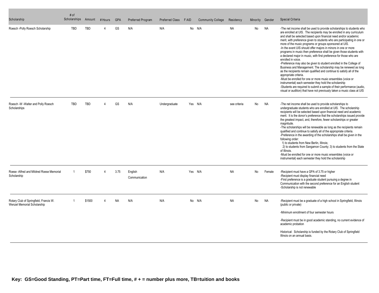| Scholarship                                                           | # of<br>Scholarships | Amount | # Hours                | <b>GPA</b> | Preferred Program        | <b>Preferred Class</b> | F AID | <b>Community College</b> | Residency    | Minority | Gender    | Special Criteria                                                                                                                                                                                                                                                                                                                                                                                                                                                                                                                                                                                                                                                                                                                                                                                                                                                                                                                                                                                                                                                                                                       |
|-----------------------------------------------------------------------|----------------------|--------|------------------------|------------|--------------------------|------------------------|-------|--------------------------|--------------|----------|-----------|------------------------------------------------------------------------------------------------------------------------------------------------------------------------------------------------------------------------------------------------------------------------------------------------------------------------------------------------------------------------------------------------------------------------------------------------------------------------------------------------------------------------------------------------------------------------------------------------------------------------------------------------------------------------------------------------------------------------------------------------------------------------------------------------------------------------------------------------------------------------------------------------------------------------------------------------------------------------------------------------------------------------------------------------------------------------------------------------------------------------|
| Roesch -Polly Roesch Scholarship                                      | TBD                  | TBD    |                        | GS         | N/A                      | N/A                    |       | No N/A                   | NA           | No       | NA        | -The net income shall be used to provide scholarships to students who<br>are enrolled at UIS. The recipients may be enrolled in any curriculum<br>and shall be selected based upon financial need and/or academic<br>merit, with preference given to students who are participating in one or<br>more of the music programs or groups sponsored at UIS.<br>-In the event UIS should offer majors in minors in one or more<br>programs in music then preference shall be given those students with<br>a declared major in music, with first preference for those who are<br>enrolled in voice.<br>-Preference may also be given to student enrolled in the College of<br>Business and Management. The scholarship may be renewed as long<br>as the recipients remain qualified and continue to satisfy all of the<br>appropriate criteria.<br>-Must be enrolled for one or more music ensembles (voice or<br>instrumental) each semester they hold the scholarship<br>-Students are required to submit a sample of their performance (audio,<br>visual or audition) that have not previously taken a music class at UIS |
| Roesch -W -Walter and Polly Roesch<br>Scholarships                    | <b>TBD</b>           | TBD    |                        | GS         | N/A                      | Undergraduate          |       | Yes N/A                  | see criteria | No       | <b>NA</b> | -The net income shall be used to provide scholarships to<br>undergraduate students who are enrolled at UIS. The scholarship<br>recipients will be selected based upon financial need and academic<br>merit. It is the donor's preference that the scholarships issued provide<br>the greatest impact, and, therefore, fewer scholarships or greater<br>magnitude.<br>-The scholarships will be renewable as long as the recipients remain<br>qualified and continue to satisfy all of the appropriate criteria.<br>-Preference in the awarding of the scholarships shall be given in the<br>following order:<br>1) to students from New Berlin, Illinois;<br>2) to students from Sangamon County; 3) to students from the State<br>of Illinois.<br>-Must be enrolled for one or more music ensembles (voice or<br>instrumental) each semester they hold the scholarship                                                                                                                                                                                                                                                |
| Roese -Alfred and Mildred Roese Memorial<br>Scholarship               |                      | \$750  | $\boldsymbol{\Lambda}$ | 3.75       | English<br>Communication | N/A                    |       | Yes N/A                  | <b>NA</b>    | No       | Female    | -Recipient must have a GPA of 3.75 or higher<br>-Recipient must display financial need<br>-First preference is a graduate student pursuing a degree in<br>Communication with the second preference for an English student<br>-Scholarship is not renewable                                                                                                                                                                                                                                                                                                                                                                                                                                                                                                                                                                                                                                                                                                                                                                                                                                                             |
| Rotary Club of Springfield, Francis W.<br>Wenzel Memorial Scholarship |                      | \$1500 |                        | <b>NA</b>  | N/A                      | N/A                    |       | No N/A                   | <b>NA</b>    | No       | <b>NA</b> | -Recipient must be a graduate of a high school in Springfield, Illinois<br>(public or private)<br>-Minimum enrollment of four semester hours<br>-Recipient must be in good academic standing, no current evidence of<br>academic probation<br>Historical: Scholarship is funded by the Rotary Club of Springfield<br>Illinois on an annual basis.                                                                                                                                                                                                                                                                                                                                                                                                                                                                                                                                                                                                                                                                                                                                                                      |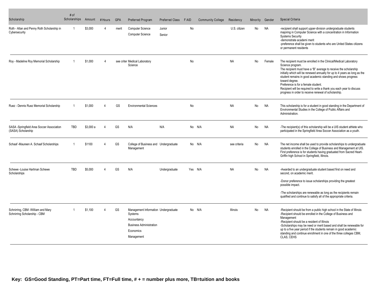| Scholarship                                                       | # of<br>Scholarships | Amount   | # Hours | <b>GPA</b> | <b>Preferred Program</b>                                                                                                    | Preferred Class  | F AID   | <b>Community College</b> | Residency       | Minority  | Gender    | Special Criteria                                                                                                                                                                                                                                                                                                                                                                                                                                                                                |
|-------------------------------------------------------------------|----------------------|----------|---------|------------|-----------------------------------------------------------------------------------------------------------------------------|------------------|---------|--------------------------|-----------------|-----------|-----------|-------------------------------------------------------------------------------------------------------------------------------------------------------------------------------------------------------------------------------------------------------------------------------------------------------------------------------------------------------------------------------------------------------------------------------------------------------------------------------------------------|
| Roth - Allan and Penny Roth Scholarship in<br>Cybersecurity       | -1                   | \$3,000  | 4       | merit      | <b>Computer Science</b><br><b>Computer Science</b>                                                                          | Junior<br>Senior | No      |                          | U.S. citizen    | No        | NA        | -recipient shall support upper-division undergraduate students<br>majoring in Computer Science with a concentration in Information<br><b>Systems Security</b><br>-demonstrate academi merit<br>-preference shall be given to students who are United States citizens<br>or permanent residents                                                                                                                                                                                                  |
| Roy - Madeline Roy Memorial Scholarship                           |                      | \$1,000  | 4       |            | see criter Medical Laboratory<br>Science                                                                                    |                  | No      |                          | <b>NA</b>       | <b>No</b> | Female    | The recipient must be enrolled in the Clinical/Medical Laboratory<br>Science program.<br>The recipient must have a "B" average to receive the scholarship<br>initially which will be renewed annually for up to 4 years as long as the<br>student remains in good academic standing and shows progress<br>toward degree.<br>Preference is for a female student.<br>Recipient will be required to write a thank you each year to discuss<br>progress in order to receive renewal of scholarship. |
| Ruez - Dennis Ruez Memorial Scholarship                           |                      | \$1,000  | Δ       | GS         | <b>Environmental Sciences</b>                                                                                               |                  | No      |                          | <b>NA</b>       | No        | <b>NA</b> | This scholarship is for a student in good standing in the Department of<br>Environmental Studies in the College of Public Affairs and<br>Administration.                                                                                                                                                                                                                                                                                                                                        |
| SASA -Springfield Area Soccer Association<br>(SASA) Scholarship   | TBD                  | \$3,000a | Δ       | GS         | N/A                                                                                                                         | N/A              |         | No N/A                   | <b>NA</b>       | No        | NA        | -The recipient(s) of this scholarship will be a UIS student athlete who<br>participated in the Springfield Area Soccer Association as a youth.                                                                                                                                                                                                                                                                                                                                                  |
| Schaaf -Maureen A. Schaaf Scholarships                            | $\overline{1}$       | \$1100   | 4       | GS         | College of Business and Undergraduate<br>Management                                                                         |                  |         | No N/A                   | see criteria    | No        | <b>NA</b> | The net income shall be used to provide scholarships to undergraduate<br>students enrolled in the College of Business and Management at UIS.<br>First preference is for students having graduated from Sacred Heart-<br>Griffin high School in Springfield, Illinois.                                                                                                                                                                                                                           |
| Schewe -Louise Hartman Schewe<br>Scholarships                     | <b>TBD</b>           | \$5,000  | 4       | GS         | N/A                                                                                                                         | Undergraduate    | Yes N/A |                          | <b>NA</b>       | No        | <b>NA</b> | -Awarded to an undergraduate student based first on need and<br>second, on academic merit.                                                                                                                                                                                                                                                                                                                                                                                                      |
|                                                                   |                      |          |         |            |                                                                                                                             |                  |         |                          |                 |           |           | -Donor preference to issue scholarships providing the greatest<br>possible impact.                                                                                                                                                                                                                                                                                                                                                                                                              |
|                                                                   |                      |          |         |            |                                                                                                                             |                  |         |                          |                 |           |           | -The scholarships are renewable as long as the recipients remain<br>qualified and continue to satisfy all of the appropriate criteria.                                                                                                                                                                                                                                                                                                                                                          |
| Schnirring, CBM -William and Mary<br>Schnirring Scholarship - CBM |                      | \$1.100  |         | GS         | Management Information Undergraduate<br>Systems<br>Accountancy<br><b>Business Administration</b><br>Economics<br>Management |                  |         | No N/A                   | <b>Illinois</b> | No        | <b>NA</b> | -Recipient should be from a public high school in the State of Illinois<br>-Recipient should be enrolled in the College of Business and<br>Management<br>-Recipient should be a resident of Illinois<br>-Scholarships may be need or merit based and shall be renewable for<br>up to a five year period if the students remain in good academic<br>standing and continue enrollment in one of the three colleges CBM,<br>CLAS, CEHS                                                             |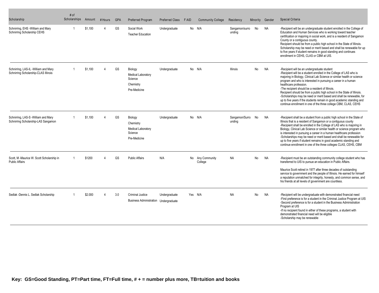| Scholarship                                                                  | # of<br>Scholarships | Amount  | # Hours | <b>GPA</b> | Preferred Program                                                            | Preferred Class | F AID   | <b>Community College</b> | Residency                | Minority       | Gender    | Special Criteria                                                                                                                                                                                                                                                                                                                                                                                                                                                                                                                                                                                                                          |
|------------------------------------------------------------------------------|----------------------|---------|---------|------------|------------------------------------------------------------------------------|-----------------|---------|--------------------------|--------------------------|----------------|-----------|-------------------------------------------------------------------------------------------------------------------------------------------------------------------------------------------------------------------------------------------------------------------------------------------------------------------------------------------------------------------------------------------------------------------------------------------------------------------------------------------------------------------------------------------------------------------------------------------------------------------------------------------|
| Schnirring, EHS - William and Mary<br>Schnirring Scholarship CEHS            |                      | \$1.100 |         | GS         | Social Work<br><b>Teacher Education</b>                                      | Undergraduate   |         | No N/A                   | Sangamon/surro<br>unding | No             | <b>NA</b> | -Recipient will be an undergraduate student enrolled in the College of<br>Education and Human Services who is working toward teacher<br>certification or majoring in social work, and is a resident of Sangamon<br>County or a contiguous county.<br>Recipient should be from a public high school in the State of Illinois.<br>Scholarship may be need or merit based and shall be renewable for up<br>to five years if student remains in good standing and continues<br>enrollment in CEHS, CLAS or CBM at UIS.                                                                                                                        |
| Schnirring, LAS-IL -William and Mary<br>Schnirring Scholarship-CLAS Illinois |                      | \$1.100 |         | GS         | Biology<br><b>Medical Laboratory</b><br>Science<br>Chemistry<br>Pre-Medicine | Undergraduate   |         | No N/A                   | <b>Illinois</b>          | No             | <b>NA</b> | -Recipient will be an undergraduate student<br>-Recipient will be a student enrolled in the College of LAS who is<br>majoring in Biology, Clinical Lab Science or similar health or science<br>program and who is interested in pursuing a career in a human<br>healthcare profession.<br>-The recipient should be a resident of Illinois.<br>Recipient should be from a public high school in the State of Illinois.<br>-Scholarships may be need or merit based and shall be renewable, for<br>up to five years if the students remain in good academic standing and<br>continue enrollment in one of the three college CBM, CLAS, CEHS |
| Schnirring, LAS-S -William and Mary<br>Schnirring Scholarship-LAS Sangamon   |                      | \$1.100 |         | GS         | Biology<br>Chemistry<br>Medical Laboratory<br>Science<br>Pre-Medicine        | Undergraduate   |         | No N/A                   | Sangamon/Surro<br>unding | No             | NA.       | -Recipient shall be a student from a public high school in the State of<br>Illinois that is a resident of Sangamon or a contiguous county<br>-Recipient shall be enrolled in the College of LAS who is majoring in<br>Biology, Clinical Lab Science or similar health or science program who<br>is interested in pursuing a career in a human healthcare profession<br>-Scholarships may be need or merit based and shall be renewable for<br>up to five years if student remains in good academic standing and<br>continue enrollment in one of the three colleges CLAS, CEHS, CBM                                                       |
| Scott, M -Maurice W. Scott Scholarship in<br><b>Public Affairs</b>           |                      | \$1200  |         | <b>GS</b>  | <b>Public Affairs</b>                                                        | N/A             | No      | Any Community<br>College | <b>NA</b>                | <b>No</b>      | NA        | -Recipient must be an outstanding community college student who has<br>transferred to UIS to pursue an education in Public Affairs.<br>Maurice Scott retired in 1977 after three decades of outstanding<br>service to government and the people of Illinois. He earned for himself<br>a reputation unmatched for integrity, honesty, and common sense, and<br>his friends at all levels of government are countless.                                                                                                                                                                                                                      |
| Sedlak -Dennis L. Sedlak Scholarship                                         |                      | \$2.000 |         | 3.0        | <b>Criminal Justice</b><br><b>Business Administration Undergraduate</b>      | Undergraduate   | Yes N/A |                          | <b>NA</b>                | N <sub>o</sub> | <b>NA</b> | -Recipient will be undergraduate with demonstrated financial need<br>-First preference is for a student in the Criminal Justice Program at UIS<br>-Second preference is for a student in the Business Administration<br>Program at UIS<br>-If no recipient found in either of these programs, a student with<br>demonstrated financial need will be eligible<br>-Scholarship may be renewable                                                                                                                                                                                                                                             |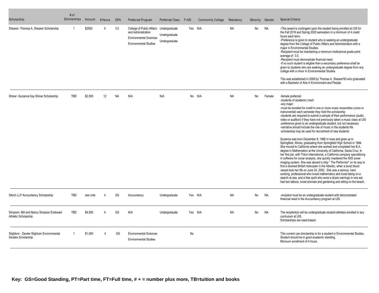| Scholarship                                                      | # of<br>Scholarships | Amount    | # Hours  | <b>GPA</b> | Preferred Program                                                                                                | <b>Preferred Class</b>                          | F AID   | <b>Community College</b> | Residency | Minority | Gender    | Special Criteria                                                                                                                                                                                                                                                                                                                                                                                                                                                                                                                                                                                                                                                                                                                                                                                                                                                                                                                                                                                                                                                                                                                                                                                                                                                                                                                                                                                                                               |
|------------------------------------------------------------------|----------------------|-----------|----------|------------|------------------------------------------------------------------------------------------------------------------|-------------------------------------------------|---------|--------------------------|-----------|----------|-----------|------------------------------------------------------------------------------------------------------------------------------------------------------------------------------------------------------------------------------------------------------------------------------------------------------------------------------------------------------------------------------------------------------------------------------------------------------------------------------------------------------------------------------------------------------------------------------------------------------------------------------------------------------------------------------------------------------------------------------------------------------------------------------------------------------------------------------------------------------------------------------------------------------------------------------------------------------------------------------------------------------------------------------------------------------------------------------------------------------------------------------------------------------------------------------------------------------------------------------------------------------------------------------------------------------------------------------------------------------------------------------------------------------------------------------------------------|
| Shearer - Thomas A. Shearer Scholarship                          | -1                   | \$2500    |          | 3.0        | College of Public Affairs<br>and Administration<br><b>Environmental Sciences</b><br><b>Environmental Studies</b> | Undergraduate<br>Undergraduate<br>Undergraduate | Yes N/A |                          | <b>NA</b> | No       | <b>NA</b> | -This award is contingent upon the student being enrolled at UIS for<br>the Fall 2019 and Spring 2020 semesters in a minimum of 4 credit<br>hours each term.<br>-Preference is given to student who is seeking an undergraduate<br>degree from the College of Public Affairs and Administration with a<br>major in Environmental Studies.<br>-Recipient must be maintaining a minimum institutional grade point<br>average of 3.0.<br>-Recipient must demonstrate financial need.<br>-If no such student is eligible then a secondary preference shall be<br>given to students who are seeking an undergraduate degree from any<br>college with a minor in Environmental Studies.<br>This was established in 2009 by Thomas A. Shearer'83 who graduated<br>with a Bachelor of Arts in Environment and People.                                                                                                                                                                                                                                                                                                                                                                                                                                                                                                                                                                                                                                  |
| Shiner - Suzanna Kay Shiner Scholarship                          | <b>TBD</b>           | \$2.500   | 12       | <b>NA</b>  | N/A                                                                                                              | N/A                                             |         | No N/A                   | <b>NA</b> | No       | Female    | -female preferred<br>-students of academic merit<br>-any major<br>-must be enrolled for credit in one or more music ensembles (voice or<br>instrumental) each semester they hold the scholarship<br>-students are required to submit a sample of their performance (audio,<br>video or audition) if they have not previously taken a music class at UIS<br>-preference given to an undergraduate student, but not necessary<br>-narrative should include the role of music in the students life<br>-scholarship may be used for recruitment of new students<br>Suzanna was born December 8, 1966 in lowa and grew up in<br>Springfield, Illinois, graduating from Springfield High School in 1984.<br>She moved to California where she worked and completed her B.A.<br>degree in Mathematics at the University of California, Santa Cruz. In<br>her first job, with Triton International, a California company specializing<br>in software for sonar analysis, she quickly mastered the ISIS sonar<br>imaging system. She was aboard a ship " The Performer" on its way to<br>find a downed British helicopter in the Atlantic, when a burst blood<br>vessel took her life on June 24, 2002. She was a serious, hard<br>working, professional who loved mathematics and loved being on a<br>search at sea, and a free spirit who wore a dozen earrings in one ear,<br>had two tattoos, loved animals and gardening and sitting on the beach. |
| Sikich LLP Accountancy Scholarship                               | <b>TBD</b>           | see crite | $\Delta$ | GS         | Accountancy                                                                                                      | Undergraduate                                   | Yes N/A |                          | <b>NA</b> | No       | <b>NA</b> | -recipient must be an undergraduate student with demonstrated<br>financial need in the Accountancy program at UIS.                                                                                                                                                                                                                                                                                                                                                                                                                                                                                                                                                                                                                                                                                                                                                                                                                                                                                                                                                                                                                                                                                                                                                                                                                                                                                                                             |
| Simpson - Bill and Nancy Simpson Endowed<br>Athletic Scholarship | <b>TBD</b>           | \$4.500   |          | GS         | N/A                                                                                                              | Undergraduate                                   | Yes N/A |                          | <b>NA</b> | No       | <b>NA</b> | The recipient(s) will be undergraduate student-athletes enrolled in any<br>curriculum at UIS.<br>Scholarships are need-based.                                                                                                                                                                                                                                                                                                                                                                                                                                                                                                                                                                                                                                                                                                                                                                                                                                                                                                                                                                                                                                                                                                                                                                                                                                                                                                                  |
| Slightom - Zander Slightom Environmental<br>Studies Scholarship  |                      | \$1,000   | 4        | GS         | <b>Environmental Sciences</b><br><b>Environmental Studies</b>                                                    |                                                 | No      |                          |           |          |           | This current use shoclarship is for a student in Environmental Studies.<br>Student should be in good academic standing.<br>Minmum enrollment of 4 hours.                                                                                                                                                                                                                                                                                                                                                                                                                                                                                                                                                                                                                                                                                                                                                                                                                                                                                                                                                                                                                                                                                                                                                                                                                                                                                       |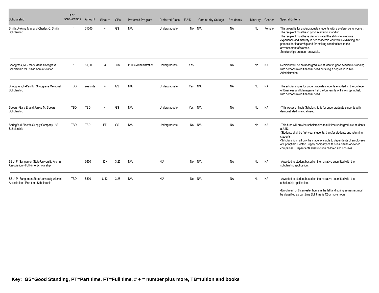| Scholarship                                                                     | # of<br>Scholarships | Amount     | # Hours   | <b>GPA</b> | Preferred Program            | <b>Preferred Class</b> | F AID | <b>Community College</b> | Residency | Minority | Gender    | Special Criteria                                                                                                                                                                                                                                                                                                                                                                          |
|---------------------------------------------------------------------------------|----------------------|------------|-----------|------------|------------------------------|------------------------|-------|--------------------------|-----------|----------|-----------|-------------------------------------------------------------------------------------------------------------------------------------------------------------------------------------------------------------------------------------------------------------------------------------------------------------------------------------------------------------------------------------------|
| Smith, A-Anna May and Charles C. Smith<br>Scholarship                           |                      | \$1300     | Δ         | GS         | N/A                          | Undergraduate          |       | No N/A                   | <b>NA</b> | No       | Female    | This award is for undergraduate students with a preference to women.<br>The recipient must be in good academic standing<br>The recipient must have demonstrated the ability to integrate<br>experience and maturity in her academic work while exhibiting her<br>potential for leadership and for making contributions to the<br>advancement of women.<br>Scholarships are non-renewable. |
| Snodgrass, M. - Mary Marie Snodgrass<br>Scholarship for Public Administration   |                      | \$1,000    |           | GS         | <b>Public Administration</b> | Undergraduate          | Yes   |                          | <b>NA</b> | No       | <b>NA</b> | Recipient will be an undergraduate student in good academic standing<br>with demonstrated financial need pursuing a degree in Public<br>Administration.                                                                                                                                                                                                                                   |
| Snodgrass, P-Paul M. Snodgrass Memorial<br>Scholarship                          | TBD                  | see crite  |           | GS         | N/A                          | Undergraduate          |       | Yes N/A                  | <b>NA</b> | No       | <b>NA</b> | The scholarship is for undergraduate students enrolled iin the College<br>of Business and Management at the University of Illinois Springfield<br>with demonstrated financial need.                                                                                                                                                                                                       |
| Spears -Gary E. and Janice M. Spears<br>Scholarship                             | TBD                  | <b>TBD</b> | $\Delta$  | GS         | N/A                          | Undergraduate          |       | Yes N/A                  | <b>NA</b> | No       | NA        | -This Access Illinois Scholarship is for undergraduate students with<br>demonstrated financial need.                                                                                                                                                                                                                                                                                      |
| Springfield Electric Supply Company UIS<br>Scholarship                          | TBD                  | <b>TBD</b> | <b>FT</b> | GS         | N/A                          | Undergraduate          |       | No N/A                   | <b>NA</b> | No       | <b>NA</b> | -This fund will provide scholarships to full time undergraduate students<br>at UIS.<br>-Students shall be first-year students, transfer students and returning<br>students.<br>-Scholarship shall only be made available to dependents of employees<br>of Springfield Electric Supply company or its subsidiaries or owned<br>companies. Dependents shall include children and spouses.   |
| SSU, F -Sangamon State University Alumni<br>Association - Full-time Scholarship |                      | \$600      | $12+$     | 3.25       | N/A                          | N/A                    |       | No N/A                   | <b>NA</b> | No       | <b>NA</b> | -Awarded to student based on the narrative submitted with the<br>scholarship application.                                                                                                                                                                                                                                                                                                 |
| SSU, P -Sangamon State University Alumni<br>Association - Part-time Scholarship | <b>TBD</b>           | \$500      | $8 - 12$  | 3.25       | N/A                          | N/A                    |       | No N/A                   | <b>NA</b> | No       | <b>NA</b> | -Awarded to student based on the narrative submitted with the<br>scholarship application.<br>-Enrollment of 8 semester hours in the fall and spring semester, must<br>be classified as part time (full time is 12 or more hours)                                                                                                                                                          |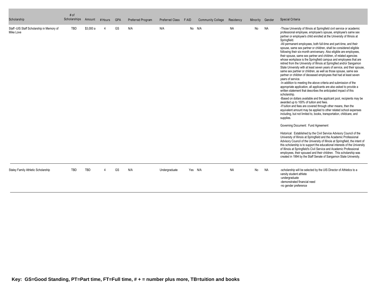| Scholarship                                             | # of<br>Scholarships | Amount     | # Hours | <b>GPA</b> | Preferred Program | <b>Preferred Class</b> | F AID   | <b>Community College</b> | Residency | Minority | Gender    | Special Criteria                                                                                                                                                                                                                                                                                                                                                                                                                                                                                                                                                                                                                                                                                                                                                                                                                                                                                                                                                                                                                                                                                                                                                                                                                                                                                                                                                                                                                                                                                                                                                                                                                                                                                                                                                                                                                                                                                                                                                                                                                                                |
|---------------------------------------------------------|----------------------|------------|---------|------------|-------------------|------------------------|---------|--------------------------|-----------|----------|-----------|-----------------------------------------------------------------------------------------------------------------------------------------------------------------------------------------------------------------------------------------------------------------------------------------------------------------------------------------------------------------------------------------------------------------------------------------------------------------------------------------------------------------------------------------------------------------------------------------------------------------------------------------------------------------------------------------------------------------------------------------------------------------------------------------------------------------------------------------------------------------------------------------------------------------------------------------------------------------------------------------------------------------------------------------------------------------------------------------------------------------------------------------------------------------------------------------------------------------------------------------------------------------------------------------------------------------------------------------------------------------------------------------------------------------------------------------------------------------------------------------------------------------------------------------------------------------------------------------------------------------------------------------------------------------------------------------------------------------------------------------------------------------------------------------------------------------------------------------------------------------------------------------------------------------------------------------------------------------------------------------------------------------------------------------------------------------|
| Staff - UIS Staff Scholarship in Memory of<br>Mike Love | TBD                  | \$3,000 a  | 4       | GS         | N/A               | N/A                    |         | No N/A                   | <b>NA</b> | No       | <b>NA</b> | -Those University of Illinois at Springfield civil service or academic<br>professional employee, employee's spouse, employee's same sex<br>partner or employee's child enrolled at the University of Illinois at<br>Springfield.<br>-All permanent employees, both full-time and part-time, and their<br>spouse, same sex partner or children, shall be considered eligible<br>following their six-month anniversary. Also eligible are employees,<br>their spouse, same sex partner and children, of related agencies<br>whose workplace is the Springfield campus and employees that are<br>retired from the University of Illinois at Springfied and/or Sangamon<br>State University with at least seven years of service, and their spouse,<br>same sex partner or children, as well as those spouse, same sex<br>partner or children of deceased employees that had at least seven<br>years of service.<br>-In addition to meeting the above criteria and submission of the<br>appropriate application, all applicants are also asked to provide a<br>written statement that describes the anticipated impact of this<br>scholarship.<br>-Based on dollars available and the applicant pool, recipients may be<br>awarded up to 100% of tuition and fees.<br>-If tuition and fees are covered through other means, then the<br>equivalent amount may be applied to other related school expenses<br>including, but not limited to, books, transportation, childcare, and<br>supplies.<br>Governing Document: Fund Agreement<br>Historical: Established by the Civil Service Advisory Council of the<br>University of Illinois at Springfield and the Academic Professional<br>Advisory Council of the University of Illinois at Springfield, the intent of<br>this scholarship is to support the educational interests of the University<br>of Illinois at Springfield's Civil Service and Academic Professional<br>employees, their spoused and their children. This scholarship was<br>created in 1994 by the Staff Senate of Sangamon State University. |
| Staley Family Athletic Scholarship                      | <b>TBD</b>           | <b>TBD</b> | 4       | GS         | N/A               | Undergraduate          | Yes N/A |                          | <b>NA</b> | No       | <b>NA</b> | -scholarship will be selected by the UIS Director of Athletics to a<br>varsity student athlete<br>-undergraduate<br>-demonstrated financial need<br>-no gender preference                                                                                                                                                                                                                                                                                                                                                                                                                                                                                                                                                                                                                                                                                                                                                                                                                                                                                                                                                                                                                                                                                                                                                                                                                                                                                                                                                                                                                                                                                                                                                                                                                                                                                                                                                                                                                                                                                       |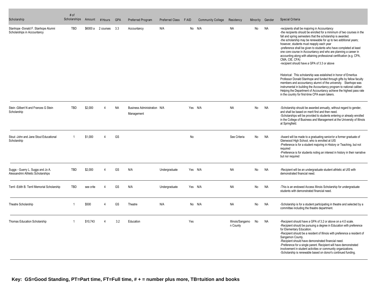| Scholarship                                                             | # of<br>Scholarships | Amount    | # Hours        | <b>GPA</b> | Preferred Program                         | <b>Preferred Class</b> | F AID | <b>Community College</b> | Residency                    | Minority | Gender    | Special Criteria                                                                                                                                                                                                                                                                                                                                                                                                                                                                                                                                                                          |
|-------------------------------------------------------------------------|----------------------|-----------|----------------|------------|-------------------------------------------|------------------------|-------|--------------------------|------------------------------|----------|-----------|-------------------------------------------------------------------------------------------------------------------------------------------------------------------------------------------------------------------------------------------------------------------------------------------------------------------------------------------------------------------------------------------------------------------------------------------------------------------------------------------------------------------------------------------------------------------------------------------|
| Stanhope -Donald F. Stanhope Alumni<br>Scholarships in Accountancy      | <b>TBD</b>           | \$6000 a  | 2 courses      | 3.3        | Accountancy                               | N/A                    |       | No N/A                   | <b>NA</b>                    | No       | <b>NA</b> | -recipients shall be majoring in Accountancy<br>-the recipients should be enrolled for a minimum of two courses in the<br>fall and spring semesters that the scholarship is awarded.<br>-the scholarship may be renewable for up to two additional years;<br>however, students must reapply each year<br>-preference shall be given to students who have completed at least<br>one core course in Accountancy and who are planning a career in<br>accounting along with attaining professional certification (e.g. CPA,<br>CMA, CIE, CFA)<br>-recipient should have a GPA of 3.3 or above |
|                                                                         |                      |           |                |            |                                           |                        |       |                          |                              |          |           | Historical: This scholarship was estalished in honor of Emeritus<br>Professor Donald Stanhope and funded through gifts by fellow faculty<br>members and accountancy alumni of the university. Stanhope was<br>instrumental in building the Accountancy program to national caliber.<br>Helping the Department of Accountancy achieve the highest pass rate<br>in the country for first-time CPA exam takers.                                                                                                                                                                              |
| Stein - Gilbert N and Frances G Stein<br>Scholarship                    | TBD                  | \$2.000   | $\Delta$       | <b>NA</b>  | Business Administration N/A<br>Management |                        |       | Yes N/A                  | <b>NA</b>                    | No       | <b>NA</b> | -Scholarship should be awarded annually, without regard to gender,<br>and shall be based on merit first and then need.<br>-Scholarships will be provided to students entering or already enrolled<br>in the College of Business and Management at the University of Illinois<br>at Springfield.                                                                                                                                                                                                                                                                                           |
| Stout -John and Jane Stout Educational<br>Scholarship                   | -1                   | \$1.000   | $\Delta$       | GS         |                                           |                        | No    |                          | See Criteria                 | No       | NA        | -Award will be made to a graduating senior/or a former graduate of<br>Glenwood High School, who is enrolled at UIS<br>-Preference is for a student majoring in History or Teaching, but not<br>required<br>-Preference is for students noting an interest in history in their narrative<br>but nor required                                                                                                                                                                                                                                                                               |
| Suggs - Guerry L. Suggs and Jo A.<br>Alessandrini Athletic Scholarships | <b>TBD</b>           | \$2,000   | $\overline{4}$ | GS         | N/A                                       | Undergraduate          |       | Yes N/A                  | <b>NA</b>                    | No       | <b>NA</b> | -Recipient will be an undergraduate student athletic at UIS with<br>demonstrated financial need.                                                                                                                                                                                                                                                                                                                                                                                                                                                                                          |
| Terril - Edith B. Terril Memorial Scholarship                           | <b>TBD</b>           | see crite |                | GS         | N/A                                       | Undergraduate          |       | Yes N/A                  | <b>NA</b>                    | No       | <b>NA</b> | -This is an endowed Access Illinois Scholarship for undergraduate<br>students with demonstrated financial need.                                                                                                                                                                                                                                                                                                                                                                                                                                                                           |
| Theatre Scholarship                                                     | -1                   | \$500     | Δ              | GS         | Theatre                                   | N/A                    |       | No N/A                   | NA                           | No       | <b>NA</b> | -Scholarship is for a student participating in theatre and selected by a<br>committee including the theatre department.                                                                                                                                                                                                                                                                                                                                                                                                                                                                   |
| <b>Thomas Education Scholarship</b>                                     |                      | \$10,743  |                | 3.2        | Education                                 |                        | Yes   |                          | Illinois/Sangamo<br>n County | No       | <b>NA</b> | -Recipient should have a GPA of 3.2 or above on a 4.0 scale.<br>-Recipient should be pursuing a degree in Education with preference<br>for Elementary Education.<br>-Recipient should be a resident of Illinois with preference a resident of<br>Sangamon County.<br>-Recipient should have demonstrated financial need.<br>-Preference for a single parent. Recipient will have demonstrated<br>involvement in student activities or community organizations.<br>-Scholarship is renewable based on donor's continued funding.                                                           |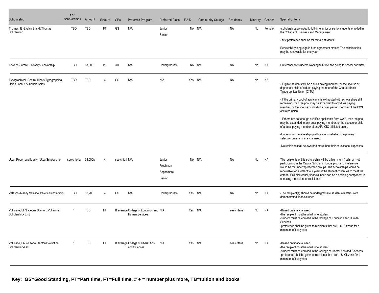| Scholarship                                                                   | # of<br>Scholarships | Amount    | # Hours   | <b>GPA</b>      | Preferred Program                                               | <b>Preferred Class</b>                    | F AID | <b>Community College</b> | Residency    | Minority | Gender    | Special Criteria                                                                                                                                                                                                                                                                                                                                                                                             |
|-------------------------------------------------------------------------------|----------------------|-----------|-----------|-----------------|-----------------------------------------------------------------|-------------------------------------------|-------|--------------------------|--------------|----------|-----------|--------------------------------------------------------------------------------------------------------------------------------------------------------------------------------------------------------------------------------------------------------------------------------------------------------------------------------------------------------------------------------------------------------------|
| Thomas, E -Evelyn Brandt Thomas<br>Scholarship                                | <b>TBD</b>           | TBD       | <b>FT</b> | GS              | N/A                                                             | Junior<br>Senior                          |       | No N/A                   | <b>NA</b>    | No       | Female    | -scholarships awarded to full-time junior or senior students enrolled in<br>the College of Business and Management<br>- first preference shall be for female students                                                                                                                                                                                                                                        |
|                                                                               |                      |           |           |                 |                                                                 |                                           |       |                          |              |          |           | Renewability language in fund agreement states: The scholarships<br>may be renewable for one year.                                                                                                                                                                                                                                                                                                           |
| Towery -Sarah B. Towery Scholarship                                           | TBD                  | \$3,000   | PT        | 3.0             | N/A                                                             | Undergraduate                             |       | No N/A                   | <b>NA</b>    | No       | <b>NA</b> | Preference for students working full-time and going to school part-time.                                                                                                                                                                                                                                                                                                                                     |
| Typographical -Central Illinois Typographical<br>Union Local 177 Scholarships | <b>TBD</b>           | TBD       |           | GS              | N/A                                                             | N/A                                       |       | Yes N/A                  | <b>NA</b>    | No       | <b>NA</b> | - Eligible students will be a dues paying member, or the spouse or<br>dependent child of a dues paying member of the Central Illinois<br>Typographical Union (CITU)                                                                                                                                                                                                                                          |
|                                                                               |                      |           |           |                 |                                                                 |                                           |       |                          |              |          |           | - If the primary pool of applicants is exhausted with scholarships still<br>remaining, then the pool may be expanded to any dues paying<br>member, or the spouse or child of a dues paying member of the CWA<br>affiliated union.                                                                                                                                                                            |
|                                                                               |                      |           |           |                 |                                                                 |                                           |       |                          |              |          |           | - If there are not enough qualified applicants from CWA, then the pool<br>may be expanded to any dues paying member, or the spouse or child<br>of a dues paying member of an AFL-CIO affiliated union.                                                                                                                                                                                                       |
|                                                                               |                      |           |           |                 |                                                                 |                                           |       |                          |              |          |           | -Once union membership qualification is satisfied, the primary<br>selection criteria is financial need.                                                                                                                                                                                                                                                                                                      |
|                                                                               |                      |           |           |                 |                                                                 |                                           |       |                          |              |          |           | -No recipient shall be awarded more than their educational expenses.                                                                                                                                                                                                                                                                                                                                         |
| Uteg - Robert and Marilyn Uteg Scholarship                                    | see criteria         | \$3,000/y |           | see criteri N/A |                                                                 | Junior<br>Freshman<br>Sophomore<br>Senior |       | No N/A                   | <b>NA</b>    | No       | NA        | The recipients of this scholarship will be a high merit freshman not<br>participating in the Capital Scholars Honors program. Preference<br>would be for underrepresented groups. The scholarships would be<br>renewable for a total of four years if the student continues to meet the<br>criteria, if all else equal, financial need can be a deciding component in<br>choosing a recipient or recipients. |
| Velasco -Manny Velasco Athletic Scholarship                                   | TBD                  | \$2,200   |           | GS              | N/A                                                             | Undergraduate                             |       | Yes N/A                  | NA           | No       | NA        | -The recipient(s) should be undergraduate student athlete(s) with<br>demonstrated financial need.                                                                                                                                                                                                                                                                                                            |
| Vollintine, EHS -Leona Stanford Vollintine<br>Scholarship-EHS                 |                      | TBD       | FT        |                 | B average College of Education and N/A<br><b>Human Services</b> |                                           |       | Yes N/A                  | see criteria | No       | NA        | -Based on financial need<br>-the recipient must be a full time student<br>-student must be enrolled in the College of Education and Human<br>Services<br>-preference shall be given to recipients that are U.S. Citizens for a<br>minimum of five years                                                                                                                                                      |
| Vollintine, LAS - Leona Stanford Vollintine<br>Scholarship-LAS                | -1                   | TBD       | FT.       |                 | B average College of Liberal Arts N/A<br>and Sciences           |                                           |       | Yes N/A                  | see criteria | No       | Na        | -Based on financial need<br>-the recipient must be a full time student<br>-student must be enrolled in the College of Liberal Arts and Sciences<br>-preference shall be given to recipients that are U.S. Citizens for a<br>minimum of five years                                                                                                                                                            |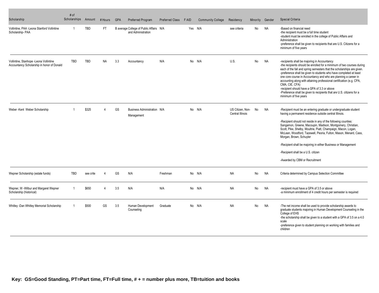| Scholarship                                                                          | # of<br>Scholarships | Amount     | # Hours   | <b>GPA</b> | Preferred Program                                             | <b>Preferred Class</b> | <b>FAID</b> | <b>Community College</b> | Residency                            | Minority | Gender    | Special Criteria                                                                                                                                                                                                                                                                                                                                                                                                                                                                                                                                                                       |
|--------------------------------------------------------------------------------------|----------------------|------------|-----------|------------|---------------------------------------------------------------|------------------------|-------------|--------------------------|--------------------------------------|----------|-----------|----------------------------------------------------------------------------------------------------------------------------------------------------------------------------------------------------------------------------------------------------------------------------------------------------------------------------------------------------------------------------------------------------------------------------------------------------------------------------------------------------------------------------------------------------------------------------------------|
| Vollintine, PAA -Leona Stanford Vollintine<br>Scholarship-PAA                        | -1                   | TBD        | FT.       |            | B average College of Public Affairs N/A<br>and Administration |                        |             | Yes N/A                  | see criteria                         | No       | <b>NA</b> | -Based on financial need<br>-the recipient must be a full time student<br>-student must be enrolled in the college of Public Affairs and<br>Administration<br>-preference shall be given to recipients that are U.S. Citizens for a<br>minimum of five years                                                                                                                                                                                                                                                                                                                           |
| Vollintine, Stanhope -Leona Vollintine<br>Accountancy Scholarship in honor of Donald | <b>TBD</b>           | <b>TBD</b> | <b>NA</b> | 3.3        | Accountancy                                                   | N/A                    |             | No N/A                   | U.S.                                 | No       | <b>NA</b> | -recipients shall be majoring in Accountancy<br>-the recipients should be enrolled for a minimum of two courses during<br>each of the fall and spring semesters that the scholarships are given.<br>-preference shall be given to students who have completed at least<br>one core course in Accountancy and who are planning a career in<br>accounting along with attaining professional certification (e.g. CPA,<br>CMA, CIE, CFA)<br>-recipient should have a GPA of 3.3 or above<br>-Preference shall be given to recipients that are U.S. citizens for a<br>minimum of five years |
| Weber-Kent Weber Scholarship                                                         |                      | \$325      | Δ         | GS         | Business Administration N/A<br>Management                     |                        |             | No N/A                   | US Citizen, Non-<br>Central Illinois | No       | <b>NA</b> | -Recipient must be an entering graduate or undergraduate student<br>having a permanent residence outside central Illinois.<br>-Recipient should not reside in any of the following counties:<br>Sangamon, Greene, Macoupin, Madison, Montgomery, Christian,<br>Scott, Pike, Shelby, Moultrie, Piatt, Champaign, Macon, Logan,<br>McLean, Woodford, Tazewell, Peoria, Fulton, Mason, Menard, Cass,<br>Morgan, Brown, Schuyler<br>-Recipient shall be majoring in either Business or Management<br>-Recipient shall be a U.S. citizen<br>-Awarded by CBM or Recruitment                  |
| Wepner Scholarship (estate funds)                                                    | <b>TBD</b>           | see crite  | Δ         | GS         | N/A                                                           | Freshman               |             | No N/A                   | <b>NA</b>                            | No       | <b>NA</b> | Criteria determined by Campus Selection Committee                                                                                                                                                                                                                                                                                                                                                                                                                                                                                                                                      |
| Wepner, W -Wilbur and Margaret Wepner<br>Scholarship (historical)                    | -1                   | \$650      | Δ         | 3.5        | N/A                                                           | N/A                    |             | No N/A                   | <b>NA</b>                            | No       | <b>NA</b> | -recipient must have a GPA of 3.5 or above<br>-a minimum enrollment of 4 credit hours per semester is required                                                                                                                                                                                                                                                                                                                                                                                                                                                                         |
| Whitley -Dan Whitley Memorial Scholarship                                            |                      | \$500      | GS        | 3.5        | Human Development<br>Counseling                               | Graduate               |             | No N/A                   | <b>NA</b>                            | No       | <b>NA</b> | -The net income shall be used to provide scholarship awards to<br>graduate students majoring in Human Development Counseling in the<br>College of EHS<br>-the scholarship shall be given to a student with a GPA of 3.5 on a 4.0<br>scale<br>-preference given to student planning on working with families and<br>children                                                                                                                                                                                                                                                            |